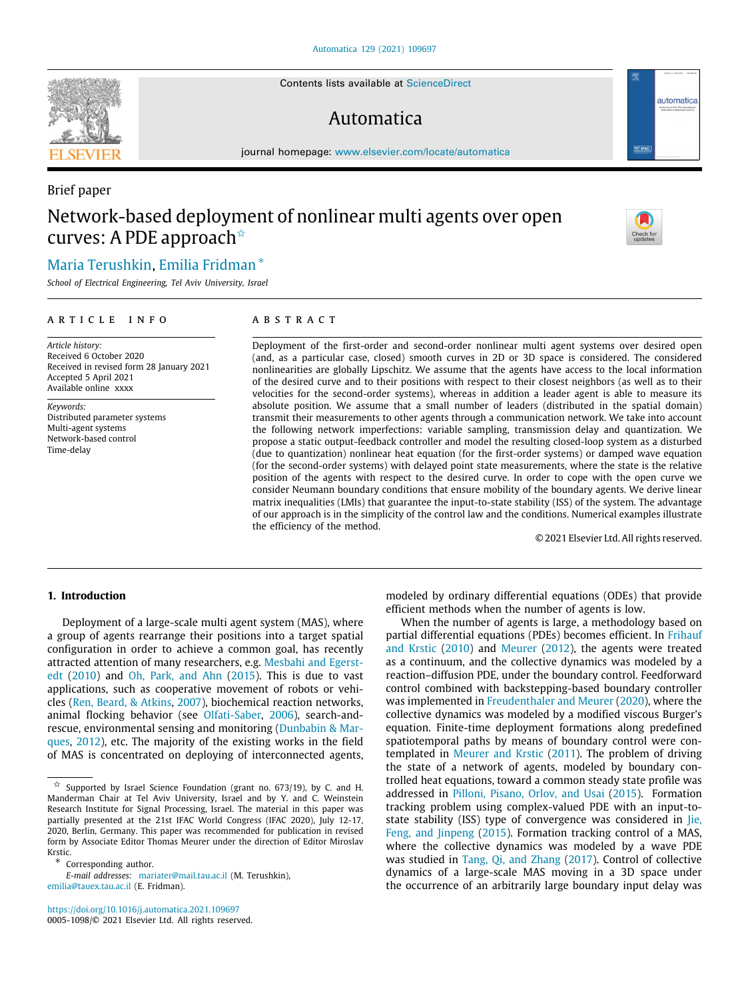Contents lists available at [ScienceDirect](http://www.elsevier.com/locate/automatica)

## Automatica

journal homepage: [www.elsevier.com/locate/automatica](http://www.elsevier.com/locate/automatica)

# Brief paper Network-based deployment of nonlinear multi agents over open curves: A PDE approach<sup>☆</sup>

## [Maria](#page-8-0) [Terushkin](#page-8-0), [Emilia](#page-8-1) [Fridman](#page-8-1) [∗](#page-0-1)

*School of Electrical Engineering, Tel Aviv University, Israel*

## a r t i c l e i n f o

*Article history:* Received 6 October 2020 Received in revised form 28 January 2021 Accepted 5 April 2021 Available online xxxx

*Keywords:* Distributed parameter systems Multi-agent systems Network-based control Time-delay

## A B S T R A C T

Deployment of the first-order and second-order nonlinear multi agent systems over desired open (and, as a particular case, closed) smooth curves in 2D or 3D space is considered. The considered nonlinearities are globally Lipschitz. We assume that the agents have access to the local information of the desired curve and to their positions with respect to their closest neighbors (as well as to their velocities for the second-order systems), whereas in addition a leader agent is able to measure its absolute position. We assume that a small number of leaders (distributed in the spatial domain) transmit their measurements to other agents through a communication network. We take into account the following network imperfections: variable sampling, transmission delay and quantization. We propose a static output-feedback controller and model the resulting closed-loop system as a disturbed (due to quantization) nonlinear heat equation (for the first-order systems) or damped wave equation (for the second-order systems) with delayed point state measurements, where the state is the relative position of the agents with respect to the desired curve. In order to cope with the open curve we consider Neumann boundary conditions that ensure mobility of the boundary agents. We derive linear matrix inequalities (LMIs) that guarantee the input-to-state stability (ISS) of the system. The advantage of our approach is in the simplicity of the control law and the conditions. Numerical examples illustrate the efficiency of the method.

© 2021 Elsevier Ltd. All rights reserved.

## **1. Introduction**

Deployment of a large-scale multi agent system (MAS), where a group of agents rearrange their positions into a target spatial configuration in order to achieve a common goal, has recently attracted attention of many researchers, e.g. [Mesbahi and Egerst](#page-8-2)[edt](#page-8-2) [\(2010](#page-8-2)) and [Oh, Park, and Ahn](#page-8-3) ([2015\)](#page-8-3). This is due to vast applications, such as cooperative movement of robots or vehicles ([Ren, Beard, & Atkins](#page-8-4), [2007](#page-8-4)), biochemical reaction networks, animal flocking behavior (see [Olfati-Saber,](#page-8-5) [2006](#page-8-5)), search-andrescue, environmental sensing and monitoring ([Dunbabin & Mar](#page-8-6)[ques,](#page-8-6) [2012\)](#page-8-6), etc. The majority of the existing works in the field of MAS is concentrated on deploying of interconnected agents,

<https://doi.org/10.1016/j.automatica.2021.109697> 0005-1098/© 2021 Elsevier Ltd. All rights reserved.

modeled by ordinary differential equations (ODEs) that provide efficient methods when the number of agents is low.

When the number of agents is large, a methodology based on partial differential equations (PDEs) becomes efficient. In [Frihauf](#page-8-7) [and Krstic](#page-8-7) ([2010](#page-8-7)) and [Meurer](#page-8-8) [\(2012\)](#page-8-8), the agents were treated as a continuum, and the collective dynamics was modeled by a reaction–diffusion PDE, under the boundary control. Feedforward control combined with backstepping-based boundary controller was implemented in [Freudenthaler and Meurer](#page-8-9) ([2020\)](#page-8-9), where the collective dynamics was modeled by a modified viscous Burger's equation. Finite-time deployment formations along predefined spatiotemporal paths by means of boundary control were contemplated in [Meurer and Krstic](#page-8-10) [\(2011\)](#page-8-10). The problem of driving the state of a network of agents, modeled by boundary controlled heat equations, toward a common steady state profile was addressed in [Pilloni, Pisano, Orlov, and Usai](#page-8-11) ([2015](#page-8-11)). Formation tracking problem using complex-valued PDE with an input-to-state stability (ISS) type of convergence was considered in [Jie,](#page-8-12) [Feng, and Jinpeng](#page-8-12) [\(2015](#page-8-12)). Formation tracking control of a MAS, where the collective dynamics was modeled by a wave PDE was studied in [Tang, Qi, and Zhang](#page-8-13) ([2017\)](#page-8-13). Control of collective dynamics of a large-scale MAS moving in a 3D space under the occurrence of an arbitrarily large boundary input delay was







<span id="page-0-0"></span> $\overleftrightarrow{x}$  Supported by Israel Science Foundation (grant no. 673/19), by C. and H. Manderman Chair at Tel Aviv University, Israel and by Y. and C. Weinstein Research Institute for Signal Processing, Israel. The material in this paper was partially presented at the 21st IFAC World Congress (IFAC 2020), July 12-17, 2020, Berlin, Germany. This paper was recommended for publication in revised form by Associate Editor Thomas Meurer under the direction of Editor Miroslav Krstic.

<span id="page-0-1"></span><sup>∗</sup> Corresponding author.

*E-mail addresses:* [mariater@mail.tau.ac.il](mailto:mariater@mail.tau.ac.il) (M. Terushkin), [emilia@tauex.tau.ac.il](mailto:emilia@tauex.tau.ac.il) (E. Fridman).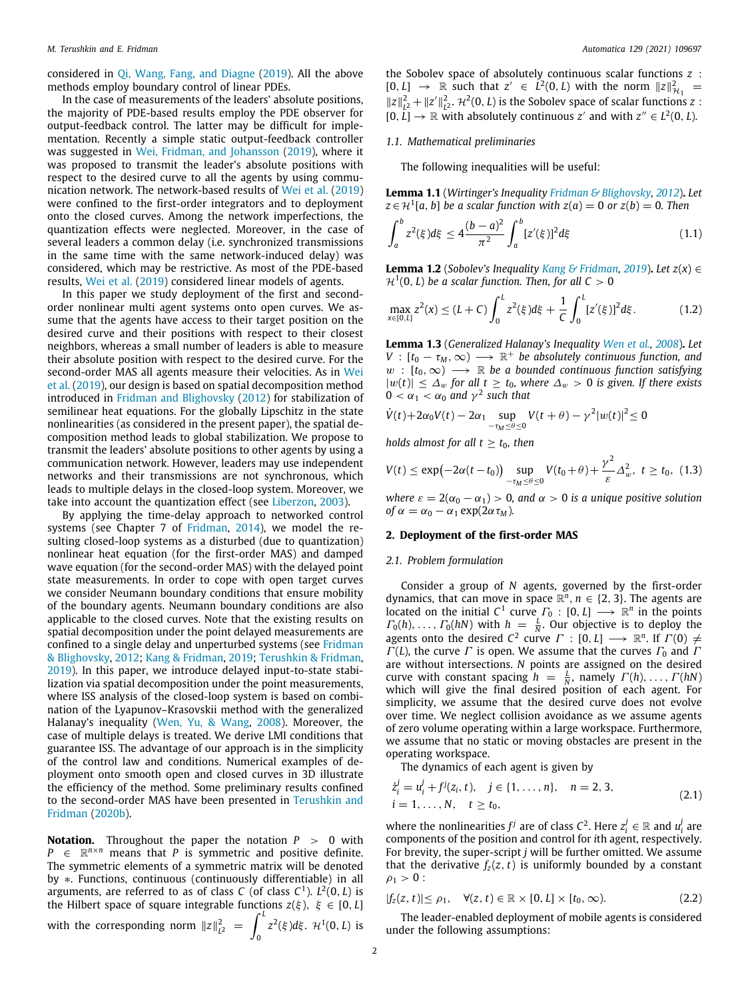considered in [Qi, Wang, Fang, and Diagne](#page-8-14) ([2019](#page-8-14)). All the above methods employ boundary control of linear PDEs.

In the case of measurements of the leaders' absolute positions, the majority of PDE-based results employ the PDE observer for output-feedback control. The latter may be difficult for implementation. Recently a simple static output-feedback controller was suggested in [Wei, Fridman, and Johansson](#page-8-15) [\(2019](#page-8-15)), where it was proposed to transmit the leader's absolute positions with respect to the desired curve to all the agents by using communication network. The network-based results of [Wei et al.](#page-8-15) [\(2019\)](#page-8-15) were confined to the first-order integrators and to deployment onto the closed curves. Among the network imperfections, the quantization effects were neglected. Moreover, in the case of several leaders a common delay (i.e. synchronized transmissions in the same time with the same network-induced delay) was considered, which may be restrictive. As most of the PDE-based results, [Wei et al.](#page-8-15) [\(2019](#page-8-15)) considered linear models of agents.

In this paper we study deployment of the first and secondorder nonlinear multi agent systems onto open curves. We assume that the agents have access to their target position on the desired curve and their positions with respect to their closest neighbors, whereas a small number of leaders is able to measure their absolute position with respect to the desired curve. For the second-order MAS all agents measure their velocities. As in [Wei](#page-8-15) [et al.](#page-8-15) ([2019\)](#page-8-15), our design is based on spatial decomposition method introduced in [Fridman and Blighovsky](#page-8-16) [\(2012\)](#page-8-16) for stabilization of semilinear heat equations. For the globally Lipschitz in the state nonlinearities (as considered in the present paper), the spatial decomposition method leads to global stabilization. We propose to transmit the leaders' absolute positions to other agents by using a communication network. However, leaders may use independent networks and their transmissions are not synchronous, which leads to multiple delays in the closed-loop system. Moreover, we take into account the quantization effect (see [Liberzon](#page-8-17), [2003](#page-8-17)).

By applying the time-delay approach to networked control systems (see Chapter 7 of [Fridman,](#page-8-18) [2014](#page-8-18)), we model the resulting closed-loop systems as a disturbed (due to quantization) nonlinear heat equation (for the first-order MAS) and damped wave equation (for the second-order MAS) with the delayed point state measurements. In order to cope with open target curves we consider Neumann boundary conditions that ensure mobility of the boundary agents. Neumann boundary conditions are also applicable to the closed curves. Note that the existing results on spatial decomposition under the point delayed measurements are confined to a single delay and unperturbed systems (see [Fridman](#page-8-16) [& Blighovsky](#page-8-16), [2012;](#page-8-16) [Kang & Fridman](#page-8-19), [2019;](#page-8-19) [Terushkin & Fridman,](#page-8-20) [2019\)](#page-8-20). In this paper, we introduce delayed input-to-state stabilization via spatial decomposition under the point measurements, where ISS analysis of the closed-loop system is based on combination of the Lyapunov–Krasovskii method with the generalized Halanay's inequality ([Wen, Yu, & Wang,](#page-8-21) [2008](#page-8-21)). Moreover, the case of multiple delays is treated. We derive LMI conditions that guarantee ISS. The advantage of our approach is in the simplicity of the control law and conditions. Numerical examples of deployment onto smooth open and closed curves in 3D illustrate the efficiency of the method. Some preliminary results confined to the second-order MAS have been presented in [Terushkin and](#page-8-22) [Fridman](#page-8-22) [\(2020b](#page-8-22)).

**Notation.** Throughout the paper the notation  $P > 0$  with  $P \in \mathbb{R}^{n \times n}$  means that *P* is symmetric and positive definite. The symmetric elements of a symmetric matrix will be denoted by ∗. Functions, continuous (continuously differentiable) in all arguments, are referred to as of class *C* (of class *C* 1 ). *L* 2 (0, *L*) is the Hilbert space of square integrable functions  $z(\xi)$ ,  $\xi \in [0, L]$ with the corresponding norm  $||z||_{L^2}^2 = \int_0^L$ 0 *z*<sup>2</sup>(ξ)dξ.  $H$ <sup>1</sup>(0, L) is

the Sobolev space of absolutely continuous scalar functions *z* :  $[0, L] \rightarrow \mathbb{R}$  such that  $z' \in L^2(0, L)$  with the norm  $||z||^2_{\mathcal{H}_1} =$  $||z||^2_{L^2} + ||z'||^2_{L^2}$ .  $\mathcal{H}^2(0, L)$  is the Sobolev space of scalar functions *z* :  $[0, L] \rightarrow \mathbb{R}$  with absolutely continuous *z'* and with  $z'' \in L^2(0, L)$ .

#### *1.1. Mathematical preliminaries*

<span id="page-1-3"></span>The following inequalities will be useful:

**Lemma 1.1** (*Wirtinger's Inequality [Fridman & Blighovsky](#page-8-16), [2012](#page-8-16)*)**.** *Let*  $z \in H^1[a, b]$  *be a scalar function with*  $z(a) = 0$  *or*  $z(b) = 0$ *. Then* 

$$
\int_{a}^{b} z^{2}(\xi)d\xi \le 4\frac{(b-a)^{2}}{\pi^{2}} \int_{a}^{b} [z'(\xi)]^{2}d\xi
$$
 (1.1)

**Lemma 1.2** (*Sobolev's Inequality [Kang & Fridman](#page-8-19), [2019](#page-8-19)*). *Let*  $z(x)$  ∈  $\mathcal{H}^1(0,L)$  *be a scalar function. Then, for all*  $C > 0$ 

<span id="page-1-4"></span>
$$
\max_{x\in[0,L]} z^2(x) \le (L+C) \int_0^L z^2(\xi) d\xi + \frac{1}{C} \int_0^L [z'(\xi)]^2 d\xi. \tag{1.2}
$$

**Lemma 1.3** (*Generalized Halanay's Inequality [Wen et al.](#page-8-21), [2008](#page-8-21)*)**.** *Let*  $V : [t_0 - \tau_M, \infty) \longrightarrow \mathbb{R}^+$  *be absolutely continuous function, and*  $w : [t_0, \infty) \longrightarrow \mathbb{R}$  *be a bounded continuous function satisfying*  $|w(t)|$  ≤  $\Delta_w$  *for all t* ≥ *t*<sub>0</sub>*,* where  $\Delta_w$  > 0 *is given. If there exists*  $0 < \alpha_1 < \alpha_0$  and  $\gamma^2$  such that

$$
\dot{V}(t) + 2\alpha_0 V(t) - 2\alpha_1 \sup_{-\tau_M \le \theta \le 0} V(t + \theta) - \gamma^2 |w(t)|^2 \le 0
$$

*holds almost for all t*  $\geq t_0$ *, then* 

<span id="page-1-2"></span>
$$
V(t) \leq \exp\left(-2\alpha(t-t_0)\right) \sup_{-\tau_M \leq \theta \leq 0} V(t_0+\theta) + \frac{\gamma^2}{\varepsilon} \Delta_w^2, \ t \geq t_0, \ (1.3)
$$

*where*  $\varepsilon = 2(\alpha_0 - \alpha_1) > 0$ , and  $\alpha > 0$  *is a unique positive solution of*  $\alpha = \alpha_0 - \alpha_1 \exp(2\alpha \tau_M)$ *.* 

### **2. Deployment of the first-order MAS**

## *2.1. Problem formulation*

<span id="page-1-5"></span>Consider a group of *N* agents, governed by the first-order dynamics, that can move in space  $\mathbb{R}^n$ ,  $n \in \{2, 3\}$ . The agents are located on the initial  $C^1$  curve  $\Gamma_0 : [0, L] \longrightarrow \mathbb{R}^n$  in the points  $\Gamma_0(h), \ldots, \Gamma_0(hN)$  with  $h = \frac{L}{N}$ . Our objective is to deploy the agents onto the desired  $C^2$  curve  $\Gamma : [0, L] \longrightarrow \mathbb{R}^n$ . If  $\Gamma(0) \neq$  $\Gamma(L)$ , the curve  $\Gamma$  is open. We assume that the curves  $\Gamma_0$  and  $\Gamma$ are without intersections. *N* points are assigned on the desired curve with constant spacing  $h = \frac{L}{N}$ , namely  $\Gamma(h), \ldots, \Gamma(h)$ which will give the final desired position of each agent. For simplicity, we assume that the desired curve does not evolve over time. We neglect collision avoidance as we assume agents of zero volume operating within a large workspace. Furthermore, we assume that no static or moving obstacles are present in the operating workspace.

<span id="page-1-1"></span>The dynamics of each agent is given by

$$
\dot{z}_i^j = u_i^j + f^j(z_i, t), \quad j \in \{1, ..., n\}, \quad n = 2, 3, \n i = 1, ..., N, \quad t \ge t_0,
$$
\n(2.1)

where the nonlinearities  $f^j$  are of class  $C^2$ . Here  $z_i^j \in \mathbb{R}$  and  $u_i^j$  are components of the position and control for *i*th agent, respectively. For brevity, the super-script *j* will be further omitted. We assume that the derivative  $f_z(z, t)$  is uniformly bounded by a constant  $\rho_1 > 0$  :

$$
|f_z(z,t)| \le \rho_1, \quad \forall (z,t) \in \mathbb{R} \times [0,L] \times [t_0,\infty).
$$
 (2.2)

<span id="page-1-0"></span>The leader-enabled deployment of mobile agents is considered under the following assumptions: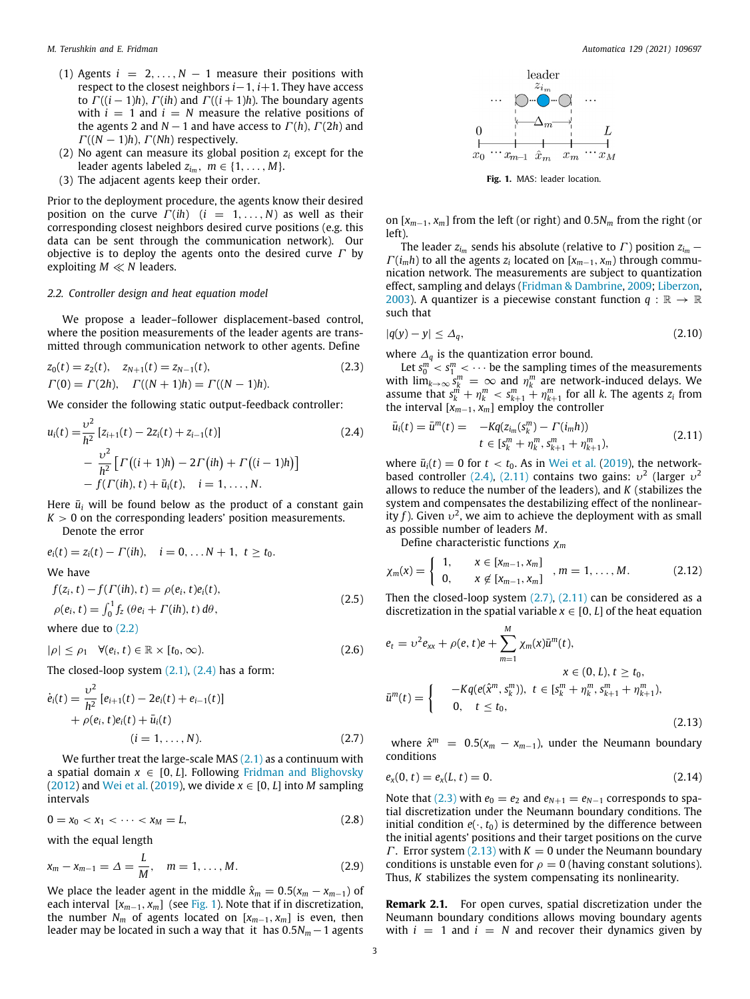- (1) Agents  $i = 2, ..., N 1$  measure their positions with respect to the closest neighbors *i*−1, *i*+1. They have access to  $\Gamma((i-1)h)$ ,  $\Gamma(ih)$  and  $\Gamma((i+1)h)$ . The boundary agents with  $i = 1$  and  $i = N$  measure the relative positions of the agents 2 and  $N-1$  and have access to  $\Gamma(h)$ ,  $\Gamma(2h)$  and  $\Gamma((N-1)h)$ ,  $\Gamma(Nh)$  respectively.
- (2) No agent can measure its global position  $z_i$  except for the leader agents labeled  $z_{i_m}$ ,  $m \in \{1, \ldots, M\}$ .
- (3) The adjacent agents keep their order.

Prior to the deployment procedure, the agents know their desired position on the curve  $\Gamma(ih)$  ( $i = 1, ..., N$ ) as well as their corresponding closest neighbors desired curve positions (e.g. this data can be sent through the communication network). Our objective is to deploy the agents onto the desired curve  $\Gamma$  by exploiting *M* ≪ *N* leaders.

#### *2.2. Controller design and heat equation model*

<span id="page-2-7"></span>We propose a leader–follower displacement-based control, where the position measurements of the leader agents are transmitted through communication network to other agents. Define

$$
z_0(t) = z_2(t), \quad z_{N+1}(t) = z_{N-1}(t),
$$
  
\n
$$
\Gamma(0) = \Gamma(2h), \quad \Gamma((N+1)h) = \Gamma((N-1)h).
$$
\n(2.3)

We consider the following static output-feedback controller:

$$
u_i(t) = \frac{\nu^2}{h^2} \left[ z_{i+1}(t) - 2z_i(t) + z_{i-1}(t) \right]
$$
  
 
$$
- \frac{\nu^2}{h^2} \left[ \Gamma\left( (i+1)h \right) - 2\Gamma\left( ih \right) + \Gamma\left( (i-1)h \right) \right]
$$
  
 
$$
- f(\Gamma(ih), t) + \bar{u}_i(t), \quad i = 1, ..., N.
$$
 (2.4)

Here  $\bar{u}_i$  will be found below as the product of a constant gain  $K > 0$  on the corresponding leaders' position measurements.

Denote the error

$$
e_i(t) = z_i(t) - \Gamma(ih), \quad i = 0, \dots N + 1, \ t \ge t_0.
$$
  
We have  

$$
f(z_i, t) - f(\Gamma(ih), t) = \rho(e_i, t)e_i(t),
$$

$$
\rho(e_i, t) = \int_0^1 f_z (\theta e_i + \Gamma(ih), t) d\theta,
$$
 (2.5)

where due to [\(2.2\)](#page-1-0)

$$
|\rho| \le \rho_1 \quad \forall (e_i, t) \in \mathbb{R} \times [t_0, \infty).
$$
 (2.6)

The closed-loop system  $(2.1)$ ,  $(2.4)$  $(2.4)$  $(2.4)$  has a form:

$$
\dot{e}_i(t) = \frac{\nu^2}{h^2} [e_{i+1}(t) - 2e_i(t) + e_{i-1}(t)] + \rho(e_i, t)e_i(t) + \bar{u}_i(t) (i = 1, ..., N).
$$
 (2.7)

We further treat the large-scale MAS  $(2.1)$  as a continuum with a spatial domain  $x \in [0, L]$ . Following [Fridman and Blighovsky](#page-8-16) ([2012\)](#page-8-16) and [Wei et al.](#page-8-15) ([2019](#page-8-15)), we divide  $x \in [0, L]$  into *M* sampling intervals

$$
0 = x_0 < x_1 < \cdots < x_M = L,\tag{2.8}
$$

with the equal length

$$
x_m - x_{m-1} = \Delta = \frac{L}{M}, \quad m = 1, ..., M.
$$
 (2.9)

We place the leader agent in the middle  $\hat{x}_m = 0.5(x_m - x_{m-1})$  of each interval  $[x_{m-1}, x_m]$  $[x_{m-1}, x_m]$  $[x_{m-1}, x_m]$  (see [Fig.](#page-2-1) 1). Note that if in discretization, the number  $N_m$  of agents located on  $[x_{m-1}, x_m]$  is even, then leader may be located in such a way that it has 0.5*N<sup>m</sup>* −1 agents



**Fig. 1.** MAS: leader location.

<span id="page-2-1"></span>on [*xm*−1, *xm*] from the left (or right) and 0.5*N<sup>m</sup>* from the right (or left).

The leader  $z_{i_m}$  sends his absolute (relative to  $\Gamma$ ) position  $z_{i_m}$  −  $\Gamma(i_m h)$  to all the agents  $z_i$  located on  $[x_{m-1}, x_m)$  through communication network. The measurements are subject to quantization effect, sampling and delays ([Fridman & Dambrine,](#page-8-23) [2009;](#page-8-23) [Liberzon,](#page-8-17) [2003\)](#page-8-17). A quantizer is a piecewise constant function  $q : \mathbb{R} \to \mathbb{R}$ such that

$$
|q(y) - y| \le \Delta_q,\tag{2.10}
$$

where  $\Delta_q$  is the quantization error bound.

<span id="page-2-4"></span>Let  $s_0^m < s_1^m < \cdots$  be the sampling times of the measurements with  $\lim_{k\to\infty} s_k^m = \infty$  and  $\eta_k^m$  are network-induced delays. We assume that  $s_k^m + \eta_k^m < s_{k+1}^m + \eta_{k+1}^m$  for all *k*. The agents  $z_i$  from the interval  $[x_{m-1}, x_m]$  employ the controller

<span id="page-2-2"></span><span id="page-2-0"></span>
$$
\bar{u}_i(t) = \bar{u}^m(t) = -Kq(z_{im}(s_k^m) - \Gamma(i_m h))
$$
\n
$$
t \in [s_k^m + \eta_k^m, s_{k+1}^m + \eta_{k+1}^m),
$$
\n(2.11)

where  $\bar{u}_i(t) = 0$  for  $t < t_0$ . As in [Wei et al.](#page-8-15) [\(2019\)](#page-8-15), the network-based controller ([2.4\)](#page-2-0), [\(2.11\)](#page-2-2) contains two gains:  $v^2$  (larger  $v^2$ allows to reduce the number of the leaders), and *K* (stabilizes the system and compensates the destabilizing effect of the nonlinearity *f*). Given  $v^2$ , we aim to achieve the deployment with as small as possible number of leaders *M*.

<span id="page-2-9"></span>Define characteristic functions χ*<sup>m</sup>*

$$
\chi_m(x) = \begin{cases} 1, & x \in [x_{m-1}, x_m] \\ 0, & x \notin [x_{m-1}, x_m] \end{cases}, m = 1, ..., M. \quad (2.12)
$$

<span id="page-2-8"></span>Then the closed-loop system  $(2.7)$ ,  $(2.11)$  $(2.11)$  $(2.11)$  can be considered as a discretization in the spatial variable  $x \in [0, L]$  of the heat equation

<span id="page-2-10"></span>
$$
e_{t} = v^{2}e_{xx} + \rho(e, t)e + \sum_{m=1}^{M} \chi_{m}(x)\bar{u}^{m}(t),
$$
  
\n
$$
x \in (0, L), t \ge t_{0},
$$
  
\n
$$
\bar{u}^{m}(t) = \begin{cases}\n-Kq(e(\hat{x}^{m}, s_{k}^{m})), & t \in [s_{k}^{m} + \eta_{k}^{m}, s_{k+1}^{m} + \eta_{k+1}^{m}), \\
0, & t \le t_{0},\n\end{cases}
$$
\n(2.13)

<span id="page-2-5"></span><span id="page-2-3"></span>where  $\hat{x}^m = 0.5(x_m - x_{m-1})$ , under the Neumann boundary conditions

<span id="page-2-6"></span>
$$
e_x(0, t) = e_x(L, t) = 0. \tag{2.14}
$$

Note that [\(2.3\)](#page-2-4) with  $e_0 = e_2$  and  $e_{N+1} = e_{N-1}$  corresponds to spatial discretization under the Neumann boundary conditions. The initial condition  $e(\cdot, t_0)$  is determined by the difference between the initial agents' positions and their target positions on the curve *Γ*. Error system ([2.13\)](#page-2-5) with  $K = 0$  under the Neumann boundary conditions is unstable even for  $\rho = 0$  (having constant solutions). Thus, *K* stabilizes the system compensating its nonlinearity.

**Remark 2.1.** For open curves, spatial discretization under the Neumann boundary conditions allows moving boundary agents with  $i = 1$  and  $i = N$  and recover their dynamics given by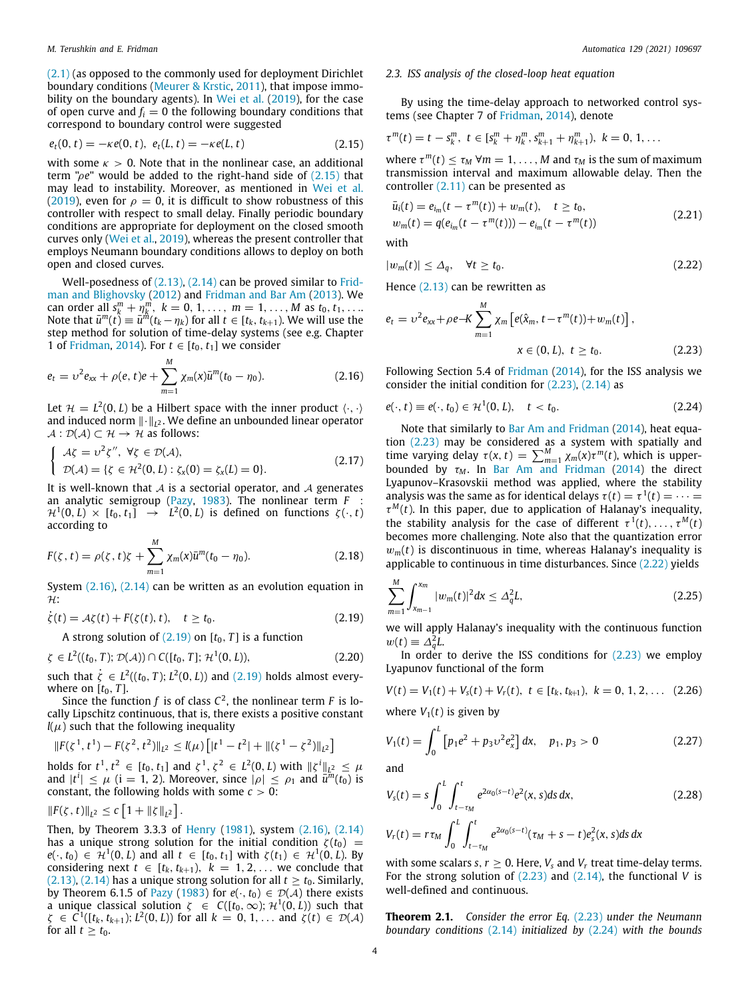([2.1](#page-1-1)) (as opposed to the commonly used for deployment Dirichlet boundary conditions [\(Meurer & Krstic](#page-8-10), [2011\)](#page-8-10), that impose immo-bility on the boundary agents). In [Wei et al.](#page-8-15) ([2019\)](#page-8-15), for the case of open curve and  $f_i = 0$  the following boundary conditions that correspond to boundary control were suggested

$$
e_t(0, t) = -\kappa e(0, t), \ e_t(L, t) = -\kappa e(L, t) \tag{2.15}
$$

with some  $\kappa > 0$ . Note that in the nonlinear case, an additional term "ρ*e*" would be added to the right-hand side of [\(2.15\)](#page-3-0) that may lead to instability. Moreover, as mentioned in [Wei et al.](#page-8-15) ([2019\)](#page-8-15), even for  $\rho = 0$ , it is difficult to show robustness of this controller with respect to small delay. Finally periodic boundary conditions are appropriate for deployment on the closed smooth curves only ([Wei et al.,](#page-8-15) [2019](#page-8-15)), whereas the present controller that employs Neumann boundary conditions allows to deploy on both open and closed curves.

Well-posedness of  $(2.13)$  $(2.13)$  $(2.13)$ ,  $(2.14)$  $(2.14)$  can be proved similar to [Frid](#page-8-16)[man and Blighovsky](#page-8-16) [\(2012\)](#page-8-16) and [Fridman and Bar Am](#page-8-24) ([2013](#page-8-24)). We can order all  $s_k^m + \eta_k^m$ ,  $k = 0, 1, ..., m = 1, ..., M$  as  $t_0, t_1, ...$ Note that  $\bar{u}^m(t) \equiv \bar{u}^{\hat{m}}(t_k - \eta_k)$  for all  $t \in [t_k, t_{k+1})$ . We will use the step method for solution of time-delay systems (see e.g. Chapter 1 of [Fridman](#page-8-18), [2014](#page-8-18)). For  $t \in [t_0, t_1]$  we consider

$$
e_t = v^2 e_{xx} + \rho(e, t)e + \sum_{m=1}^{M} \chi_m(x)\bar{u}^m(t_0 - \eta_0).
$$
 (2.16)

Let  $\mathcal{H} = L^2(0,L)$  be a Hilbert space with the inner product  $\langle \cdot, \cdot \rangle$ and induced norm ∥·∥*<sup>L</sup>* <sup>2</sup> . We define an unbounded linear operator  $\mathcal{A}: \mathcal{D}(\mathcal{A}) \subset \mathcal{H} \rightarrow \mathcal{H}$  as follows:

$$
\begin{cases}\n\mathcal{A}\zeta = \upsilon^2 \zeta'', \ \forall \zeta \in \mathcal{D}(\mathcal{A}), \\
\mathcal{D}(\mathcal{A}) = \{\zeta \in \mathcal{H}^2(0, L) : \zeta_x(0) = \zeta_x(L) = 0\}.\n\end{cases}
$$
\n(2.17)

It is well-known that  $A$  is a sectorial operator, and  $A$  generates an analytic semigroup ([Pazy](#page-8-25), [1983](#page-8-25)). The nonlinear term *F* :  $\mathcal{H}^1(0,L)\,\times\,[t_0,t_1]\,\,\,\rightarrow\,\,\,\,L^2(0,L)\,$  is defined on functions  $\,\zeta(\cdot,t)\,$ according to

$$
F(\zeta, t) = \rho(\zeta, t)\zeta + \sum_{m=1}^{M} \chi_m(x)\bar{u}^m(t_0 - \eta_0).
$$
 (2.18)

System [\(2.16\)](#page-3-1), ([2.14](#page-2-6)) can be written as an evolution equation in  $H$ :

$$
\dot{\zeta}(t) = \mathcal{A}\zeta(t) + F(\zeta(t), t), \quad t \ge t_0.
$$
\n(2.19)

A strong solution of  $(2.19)$  on  $[t_0, T]$  is a function

$$
\zeta \in L^{2}((t_{0}, T); \mathcal{D}(\mathcal{A})) \cap C([t_{0}, T]; \mathcal{H}^{1}(0, L)), \qquad (2.20)
$$

such that  $\dot{\zeta} \in L^2((t_0, T); L^2(0, L))$  and  $(2.19)$  holds almost everywhere on  $[t_0, T]$ .

Since the function  $f$  is of class  $C^2$ , the nonlinear term  $F$  is locally Lipschitz continuous, that is, there exists a positive constant  $l(\mu)$  such that the following inequality

$$
||F(\zeta^1, t^1) - F(\zeta^2, t^2)||_{L^2} \leq l(\mu) \left[ |t^1 - t^2| + ||(\zeta^1 - \zeta^2)||_{L^2} \right]
$$

holds for  $t^1, t^2 \in [t_0, t_1]$  and  $\zeta^1, \zeta^2 \in L^2(0, L)$  with  $\|\zeta^i\|_{L^2} \leq \mu$ and  $|t^i| \leq \mu$  (i = 1, 2). Moreover, since  $|\rho| \leq \rho_1$  and  $\bar{u}^m(t_0)$  is constant, the following holds with some  $c > 0$ :

$$
||F(\zeta, t)||_{L^2} \leq c \left[1 + ||\zeta||_{L^2}\right].
$$

Then, by Theorem 3.3.3 of [Henry](#page-8-26) [\(1981\)](#page-8-26), system ([2.16](#page-3-1)), [\(2.14\)](#page-2-6) has a unique strong solution for the initial condition  $\zeta(t_0)$  =  $e(\cdot, t_0) \in \mathcal{H}^1(0, L)$  and all  $t \in [t_0, t_1]$  with  $\zeta(t_1) \in \mathcal{H}^1(0, L)$ . By considering next  $t \in [t_k, t_{k+1}), k = 1, 2, \ldots$  we conclude that ([2.13](#page-2-5)), [\(2.14\)](#page-2-6) has a unique strong solution for all  $t \ge t_0$ . Similarly, by Theorem 6.1.5 of [Pazy](#page-8-25) ([1983\)](#page-8-25) for  $e(\cdot, t_0) \in \mathcal{D}(\mathcal{A})$  there exists a unique classical solution  $\zeta \in C([t_0, \infty); \mathcal{H}^1(0, L))$  such that  $\zeta \in C^1([t_k, t_{k+1}); L^2(0, L))$  for all  $k = 0, 1, ...$  and  $\zeta(t) \in \mathcal{D}(\mathcal{A})$ for all  $t \geq t_0$ .

#### *2.3. ISS analysis of the closed-loop heat equation*

By using the time-delay approach to networked control systems (see Chapter 7 of [Fridman](#page-8-18), [2014](#page-8-18)), denote

<span id="page-3-0"></span>
$$
\tau^{m}(t)=t-s_{k}^{m},\ t\in[s_{k}^{m}+\eta_{k}^{m},s_{k+1}^{m}+\eta_{k+1}^{m}),\ k=0,1,\ldots
$$

where  $\tau^m(t) \leq \tau_M \ \forall m = 1, \ldots, M$  and  $\tau_M$  is the sum of maximum transmission interval and maximum allowable delay. Then the controller [\(2.11](#page-2-2)) can be presented as

<span id="page-3-8"></span>
$$
\bar{u}_i(t) = e_{i_m}(t - \tau^m(t)) + w_m(t), \quad t \ge t_0, \nw_m(t) = q(e_{i_m}(t - \tau^m(t))) - e_{i_m}(t - \tau^m(t))
$$
\n(2.21)

with

<span id="page-3-4"></span>
$$
|w_m(t)| \leq \Delta_q, \quad \forall t \geq t_0. \tag{2.22}
$$

Hence [\(2.13\)](#page-2-5) can be rewritten as

<span id="page-3-3"></span>
$$
e_{t} = \upsilon^{2} e_{xx} + \rho e - K \sum_{m=1}^{M} \chi_{m} \left[ e(\hat{x}_{m}, t - \tau^{m}(t)) + w_{m}(t) \right],
$$
  
 
$$
x \in (0, L), t \ge t_{0}.
$$
 (2.23)

<span id="page-3-1"></span>Following Section 5.4 of [Fridman](#page-8-18) ([2014\)](#page-8-18), for the ISS analysis we consider the initial condition for [\(2.23](#page-3-3)), [\(2.14\)](#page-2-6) as

<span id="page-3-5"></span>
$$
e(\cdot, t) \equiv e(\cdot, t_0) \in \mathcal{H}^1(0, L), \quad t < t_0. \tag{2.24}
$$

Note that similarly to [Bar Am and Fridman](#page-8-27) ([2014\)](#page-8-27), heat equation [\(2.23\)](#page-3-3) may be considered as a system with spatially and time varying delay  $\tau(x, t) = \sum_{m=1}^{M} \chi_m(x) \tau^m(t)$ , which is upperbounded by  $\tau_M$ . In [Bar Am and Fridman](#page-8-27) [\(2014\)](#page-8-27) the direct Lyapunov–Krasovskii method was applied, where the stability analysis was the same as for identical delays  $\tau(t) = \tau^1(t) = \cdots$  $\tau^{M}(t)$ . In this paper, due to application of Halanay's inequality, the stability analysis for the case of different  $\tau^1(t), \ldots, \tau^M(t)$ becomes more challenging. Note also that the quantization error  $w<sub>m</sub>(t)$  is discontinuous in time, whereas Halanay's inequality is applicable to continuous in time disturbances. Since [\(2.22\)](#page-3-4) yields

<span id="page-3-7"></span>
$$
\sum_{m=1}^{M} \int_{x_{m-1}}^{x_m} |w_m(t)|^2 dx \le \Delta_q^2 L, \tag{2.25}
$$

<span id="page-3-2"></span>we will apply Halanay's inequality with the continuous function  $w(t) \equiv \Delta_q^2 L$ .

In order to derive the ISS conditions for  $(2.23)$  $(2.23)$  $(2.23)$  we employ Lyapunov functional of the form

<span id="page-3-6"></span>
$$
V(t) = V_1(t) + V_s(t) + V_r(t), \ t \in [t_k, t_{k+1}), \ k = 0, 1, 2, \dots \ (2.26)
$$

where  $V_1(t)$  is given by

$$
V_1(t) = \int_0^L \left[ p_1 e^2 + p_3 v^2 e_x^2 \right] dx, \quad p_1, p_3 > 0 \tag{2.27}
$$

and

<span id="page-3-10"></span>
$$
V_{s}(t) = s \int_{0}^{L} \int_{t-\tau_{M}}^{t} e^{2\alpha_{0}(s-t)} e^{2} (x, s) ds dx, \qquad (2.28)
$$
  

$$
V_{r}(t) = r \tau_{M} \int_{0}^{L} \int_{t-\tau_{M}}^{t} e^{2\alpha_{0}(s-t)} (\tau_{M} + s - t) e_{s}^{2}(x, s) ds dx
$$

with some scalars *s*,  $r \geq 0$ . Here,  $V_s$  and  $V_r$  treat time-delay terms. For the strong solution of ([2.23](#page-3-3)) and ([2.14](#page-2-6)), the functional *V* is well-defined and continuous.

<span id="page-3-9"></span>**Theorem 2.1.** *Consider the error Eq.* [\(2.23\)](#page-3-3) *under the Neumann boundary conditions* ([2.14](#page-2-6)) *initialized by* [\(2.24](#page-3-5)) *with the bounds*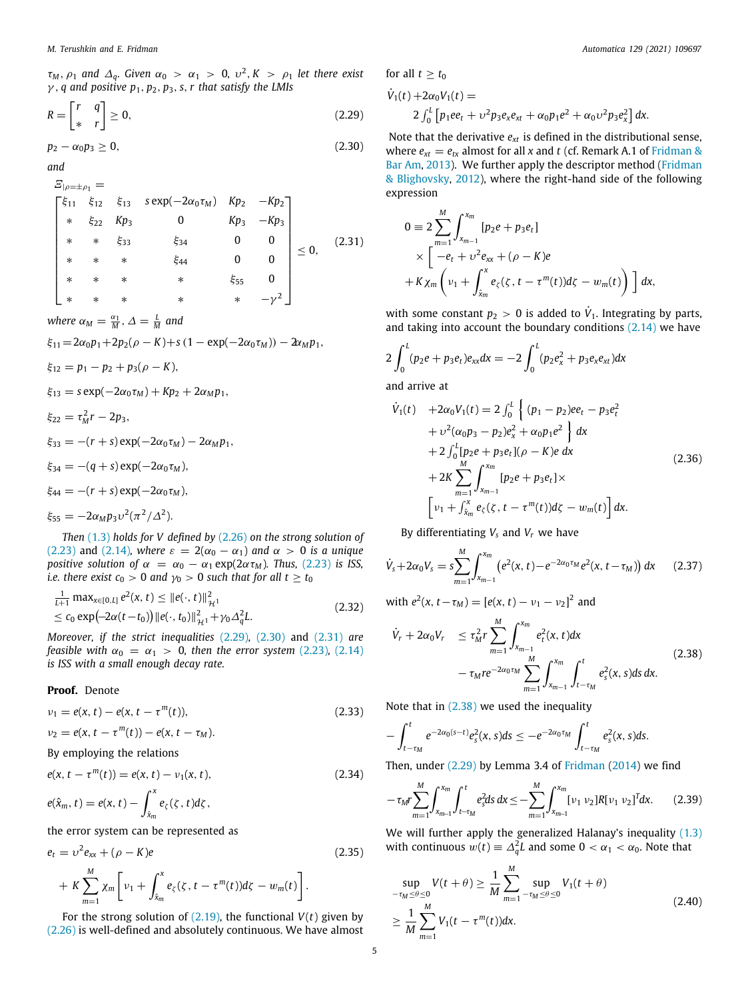τ*<sup>M</sup>* , ρ<sup>1</sup> *and* ∆*q. Given* α<sup>0</sup> > α<sup>1</sup> > 0*,* υ 2 , *K* > ρ<sup>1</sup> *let there exist* γ , *q and positive p*1, *p*2, *p*3, *s*,*r that satisfy the LMIs*

$$
R = \begin{bmatrix} r & q \\ * & r \end{bmatrix} \ge 0,
$$
\n(2.29)

$$
p_2 - \alpha_0 p_3 \geq 0, \tag{2.30}
$$

*and*

$$
E_{|p=\pm p_1} =
$$
\n
$$
\begin{bmatrix}\n\xi_{11} & \xi_{12} & \xi_{13} & s \exp(-2\alpha_0 \tau_M) & Kp_2 & -Kp_2 \\
* & \xi_{22} & Kp_3 & 0 & Kp_3 & -Kp_3 \\
* & * & \xi_{33} & \xi_{34} & 0 & 0 \\
* & * & * & \xi_{44} & 0 & 0 \\
* & * & * & * & \xi_{55} & 0 \\
* & * & * & * & * & -\gamma^2\n\end{bmatrix}
$$
\n(2.31)

*where*  $\alpha_M = \frac{\alpha_1}{M}, \Delta = \frac{L}{M}$  and

$$
\xi_{11} = 2\alpha_0 p_1 + 2p_2(\rho - K) + s(1 - \exp(-2\alpha_0 \tau_M)) - 2\alpha_M p_1,
$$

- $\xi_{12} = p_1 p_2 + p_3(\rho K),$
- $\xi_{13} = s \exp(-2\alpha_0 \tau_M) + Kp_2 + 2\alpha_M p_1$
- $\xi_{22} = \tau_M^2 r 2p_3$ ,
- $\xi_{33} = -(r + s) \exp(-2\alpha_0 \tau_M) 2\alpha_M p_1$
- $\xi_{34} = -(q+s) \exp(-2\alpha_0 \tau_M),$
- $\xi_{44} = -(r + s) \exp(-2\alpha_0 \tau_M),$

$$
\xi_{55} = -2\alpha_M p_3 v^2 (\pi^2/\Delta^2).
$$

*Then* ([1.3](#page-1-2)) *holds for V defined by* ([2.26](#page-3-6)) *on the strong solution of* ([2.23](#page-3-3)) and [\(2.14](#page-2-6))*, where*  $\varepsilon = 2(\alpha_0 - \alpha_1)$  and  $\alpha > 0$  *is a unique positive solution of*  $\alpha = \alpha_0 - \alpha_1 \exp(2\alpha \tau_M)$ *. Thus,* [\(2.23\)](#page-3-3) *is ISS, i.e. there exist*  $c_0 > 0$  *and*  $\gamma_0 > 0$  *such that for all*  $t \ge t_0$ 

$$
\frac{1}{L+1} \max_{x \in [0,L]} e^{2}(x,t) \leq ||e(\cdot,t)||_{\mathcal{H}^{1}}^{2}
$$
\n
$$
\leq c_{0} \exp(-2\alpha(t-t_{0})) ||e(\cdot,t_{0})||_{\mathcal{H}^{1}}^{2} + \gamma_{0} \Delta_{q}^{2} L.
$$
\n(2.32)

*Moreover, if the strict inequalities* ([2.29](#page-4-0))*,* ([2.30](#page-4-1)) and ([2.31](#page-4-2)) *are feasible with*  $\alpha_0 = \alpha_1 > 0$ *, then the error system* [\(2.23\)](#page-3-3), [\(2.14\)](#page-2-6) *is ISS with a small enough decay rate.*

## **Proof.** Denote

$$
\nu_1 = e(x, t) - e(x, t - \tau^m(t)),
$$
\n(2.33)

$$
v_2=e(x,t-\tau^m(t))-e(x,t-\tau_M).
$$

By employing the relations

$$
e(x, t - \tau^m(t)) = e(x, t) - \nu_1(x, t), \qquad (2.34)
$$

$$
e(\hat{x}_m,t)=e(x,t)-\int_{\hat{x}_m}^x e_{\zeta}(\zeta,t)d\zeta,
$$

the error system can be represented as

$$
e_{t} = \nu^{2} e_{xx} + (\rho - K)e
$$
\n
$$
+ K \sum_{m=1}^{M} \chi_{m} \left[ \nu_{1} + \int_{\hat{x}_{m}}^{x} e_{\zeta}(\zeta, t - \tau^{m}(t)) d\zeta - w_{m}(t) \right].
$$
\n(2.35)

For the strong solution of  $(2.19)$ , the functional  $V(t)$  given by ([2.26](#page-3-6)) is well-defined and absolutely continuous. We have almost for all  $t > t_0$ 

<span id="page-4-0"></span>
$$
\dot{V}_1(t) + 2\alpha_0 V_1(t) =
$$
  
2  $\int_0^L \left[ p_1 e e_t + v^2 p_3 e_x e_{xt} + \alpha_0 p_1 e^2 + \alpha_0 v^2 p_3 e_x^2 \right] dx.$ 

<span id="page-4-1"></span>Note that the derivative  $e_{xt}$  is defined in the distributional sense, where  $e_{xt} = e_{tx}$  almost for all *x* and *t* (cf. Remark A.1 of [Fridman &](#page-8-24) [Bar Am,](#page-8-24) [2013\)](#page-8-24). We further apply the descriptor method ([Fridman](#page-8-16) [& Blighovsky](#page-8-16), [2012](#page-8-16)), where the right-hand side of the following expression

<span id="page-4-2"></span>
$$
0 \equiv 2 \sum_{m=1}^{M} \int_{x_{m-1}}^{x_m} [p_2 e + p_3 e_t]
$$
  
 
$$
\times \left[ -e_t + \upsilon^2 e_{xx} + (\rho - K) e
$$
  
 
$$
+ K \chi_m \left( \nu_1 + \int_{\hat{x}_m}^{x} e_{\zeta}(\zeta, t - \tau^m(t)) d\zeta - w_m(t) \right) \right] dx,
$$

with some constant  $p_2 > 0$  is added to  $\dot{V}_1$ . Integrating by parts, and taking into account the boundary conditions ([2.14](#page-2-6)) we have

$$
2\int_0^L (p_2e + p_3e_t)e_{xx}dx = -2\int_0^L (p_2e_x^2 + p_3e_xe_{xt})dx
$$
  
and arrive at

$$
\dot{V}_1(t) + 2\alpha_0 V_1(t) = 2 \int_0^L \left\{ (p_1 - p_2)e e_t - p_3 e_t^2 + v^2 (\alpha_0 p_3 - p_2) e_x^2 + \alpha_0 p_1 e^2 \right\} dx \n+ 2 \int_0^L [p_2 e + p_3 e_t] (\rho - K) e dx \n+ 2K \sum_{m=1}^M \int_{x_{m-1}}^{x_m} [p_2 e + p_3 e_t] \times \left[ v_1 + \int_{\hat{x}_m}^x e_{\zeta}(\zeta, t - \tau^m(t)) d\zeta - w_m(t) \right] dx.
$$
\n(2.36)

<span id="page-4-4"></span>By differentiating  $V_s$  and  $V_r$  we have

$$
\dot{V}_s + 2\alpha_0 V_s = s \sum_{m=1}^M \int_{x_{m-1}}^{x_m} \left( e^2(x, t) - e^{-2\alpha_0 \tau_M} e^2(x, t - \tau_M) \right) dx \qquad (2.37)
$$

<span id="page-4-6"></span>with  $e^{2}(x, t-\tau_{M}) = [e(x, t) - \nu_{1} - \nu_{2}]^{2}$  and

<span id="page-4-3"></span>
$$
\dot{V}_r + 2\alpha_0 V_r \le \tau_M^2 r \sum_{m=1}^M \int_{x_{m-1}}^{x_m} e_t^2(x, t) dx \n- \tau_M r e^{-2\alpha_0 \tau_M} \sum_{m=1}^M \int_{x_{m-1}}^{x_m} \int_{t-\tau_M}^t e_s^2(x, s) ds dx.
$$
\n(2.38)

<span id="page-4-7"></span>Note that in [\(2.38\)](#page-4-3) we used the inequality

$$
-\int_{t-\tau_M}^t e^{-2\alpha_0(s-t)}e_s^2(x,s)ds \leq -e^{-2\alpha_0\tau_M}\int_{t-\tau_M}^t e_s^2(x,s)ds.
$$

<span id="page-4-8"></span>Then, under  $(2.29)$  $(2.29)$  $(2.29)$  by Lemma 3.4 of [Fridman](#page-8-18)  $(2014)$  we find

<span id="page-4-5"></span>
$$
-\tau_M r \sum_{m=1}^M \int_{x_{m-1}}^{x_m} \int_{t-\tau_M}^t e_s^2 ds \, dx \le -\sum_{m=1}^M \int_{x_{m-1}}^{x_m} [\nu_1 \, \nu_2] R [\nu_1 \, \nu_2]^T dx. \tag{2.39}
$$

We will further apply the generalized Halanay's inequality [\(1.3\)](#page-1-2) with continuous  $w(t) \equiv \Delta_q^2 L$  and some  $0 < \alpha_1 < \alpha_0$ . Note that

<span id="page-4-9"></span>
$$
\sup_{-\tau_M \leq \theta \leq 0} V(t + \theta) \geq \frac{1}{M} \sum_{m=1}^{M} \sup_{-\tau_M \leq \theta \leq 0} V_1(t + \theta)
$$
  
\n
$$
\geq \frac{1}{M} \sum_{m=1}^{M} V_1(t - \tau^m(t)) dx.
$$
\n(2.40)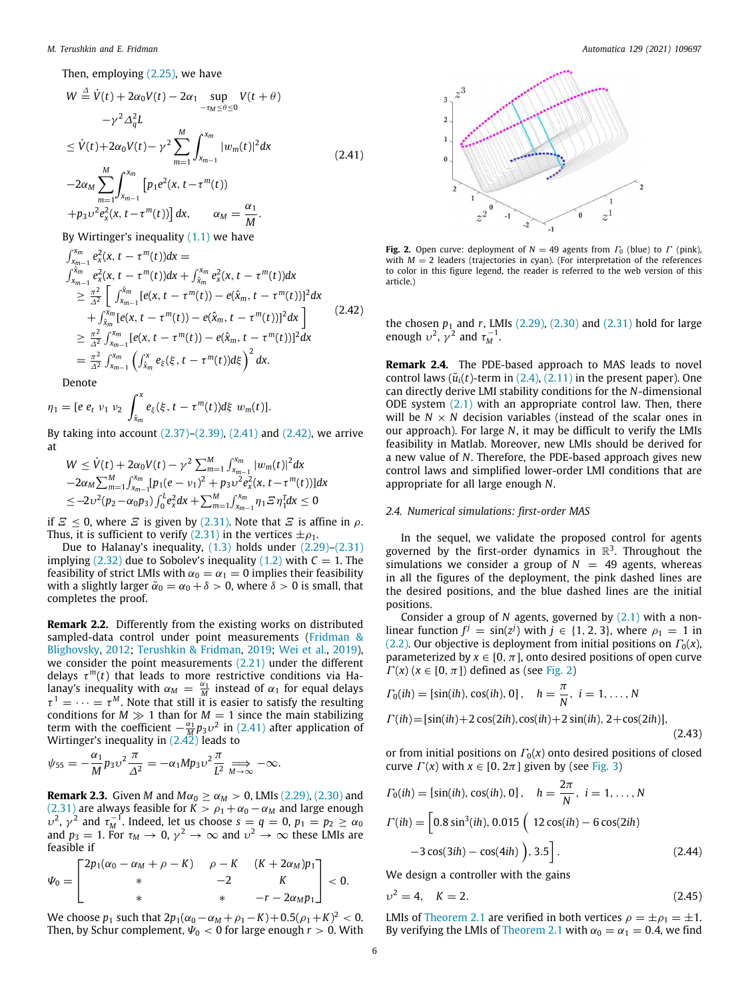Then, employing ([2.25](#page-3-7)), we have

$$
W \stackrel{\Delta}{=} \dot{V}(t) + 2\alpha_0 V(t) - 2\alpha_1 \sup_{-\tau_M \le \theta \le 0} V(t + \theta)
$$
  
\n
$$
-\gamma^2 \Delta_q^2 L
$$
  
\n
$$
\le \dot{V}(t) + 2\alpha_0 V(t) - \gamma^2 \sum_{m=1}^M \int_{x_{m-1}}^{x_m} |w_m(t)|^2 dx
$$
  
\n
$$
-2\alpha_M \sum_{m=1}^M \int_{x_{m-1}}^{x_m} [p_1 e^2(x, t - \tau^m(t)) + p_3 v^2 e_x^2(x, t - \tau^m(t))] dx, \qquad \alpha_M = \frac{\alpha_1}{M}.
$$
 (2.41)

By Wirtinger's inequality  $(1.1)$  we have

$$
\int_{x_{m-1}}^{x_m} e_x^2(x, t - \tau^m(t))dx =
$$
\n
$$
\int_{x_{m-1}}^{x_m} e_x^2(x, t - \tau^m(t))dx + \int_{\hat{x}_m}^{x_m} e_x^2(x, t - \tau^m(t))dx
$$
\n
$$
\geq \frac{\pi^2}{\Delta^2} \left[ \int_{x_{m-1}}^{\hat{x}_m} [e(x, t - \tau^m(t)) - e(\hat{x}_m, t - \tau^m(t))]^2 dx + \int_{\hat{x}_m}^{x_m} [e(x, t - \tau^m(t)) - e(\hat{x}_m, t - \tau^m(t))]^2 dx \right]
$$
\n
$$
\geq \frac{\pi^2}{\Delta^2} \int_{x_{m-1}}^{x_m} [e(x, t - \tau^m(t)) - e(\hat{x}_m, t - \tau^m(t))]^2 dx
$$
\n
$$
= \frac{\pi^2}{\Delta^2} \int_{x_{m-1}}^{x_m} \left( \int_{\hat{x}_m}^x e_\xi(\xi, t - \tau^m(t))d\xi \right)^2 dx.
$$
\n(2.42)

Denote

$$
\eta_1 = [e \; e_t \; \nu_1 \; \nu_2 \; \int_{\hat{x}_m}^x e_{\xi}(\xi, t - \tau^m(t)) d\xi \; w_m(t)].
$$

By taking into account ([2.37](#page-4-4))–[\(2.39](#page-4-5)), [\(2.41\)](#page-5-0) and ([2.42](#page-5-1)), we arrive at

$$
W \leq \dot{V}(t) + 2\alpha_0 V(t) - \gamma^2 \sum_{m=1}^{M} \int_{x_{m-1}}^{x_m} |w_m(t)|^2 dx
$$
  
\n
$$
-2\alpha_M \sum_{m=1}^{M} \int_{x_{m-1}}^{x_m} [p_1(e - v_1)^2 + p_3 v^2 e_x^2(x, t - \tau^m(t))] dx
$$
  
\n
$$
\leq -2v^2(p_2 - \alpha_0 p_3) \int_0^t e_x^2 dx + \sum_{m=1}^{M} \int_{x_{m-1}}^{x_m} \eta_1 \Xi \eta_1^T dx \leq 0
$$

if  $E < 0$ , where  $E$  is given by [\(2.31\)](#page-4-2). Note that  $E$  is affine in  $\rho$ . Thus, it is sufficient to verify ([2.31](#page-4-2)) in the vertices  $\pm \rho_1$ .

Due to Halanay's inequality, ([1.3](#page-1-2)) holds under ([2.29](#page-4-0))–[\(2.31\)](#page-4-2) implying  $(2.32)$  due to Sobolev's inequality  $(1.2)$  $(1.2)$  with  $C = 1$ . The feasibility of strict LMIs with  $\alpha_0 = \alpha_1 = 0$  implies their feasibility with a slightly larger  $\bar{\alpha}_0 = \alpha_0 + \delta > 0$ , where  $\delta > 0$  is small, that completes the proof.

**Remark 2.2.** Differently from the existing works on distributed sampled-data control under point measurements ([Fridman &](#page-8-16) [Blighovsky](#page-8-16), [2012](#page-8-16); [Terushkin & Fridman](#page-8-20), [2019;](#page-8-20) [Wei et al.](#page-8-15), [2019\)](#page-8-15), we consider the point measurements ([2.21](#page-3-8)) under the different delays  $\tau^m(t)$  that leads to more restrictive conditions via Halanay's inequality with  $\alpha_M = \frac{\alpha_1}{M}$  instead of  $\alpha_1$  for equal delays  $\tau^1 = \cdots = \tau^M$ . Note that still it is easier to satisfy the resulting conditions for  $M \gg 1$  than for  $M = 1$  since the main stabilizing term with the coefficient  $-\frac{\alpha_1}{M}p_3v^2$  in [\(2.41\)](#page-5-0) after application of Wirtinger's inequality in [\(2.42](#page-5-1)) leads to

$$
\psi_{55}=-\frac{\alpha_1}{M}p_3v^2\frac{\pi}{\Delta^2}=-\alpha_1Mp_3v^2\frac{\pi}{L^2}\Longrightarrow_{M\to\infty}-\infty.
$$

**Remark 2.3.** Given *M* and  $M\alpha_0 \ge \alpha_M > 0$ , LMIs [\(2.29\)](#page-4-0), ([2.30](#page-4-1)) and ([2.31](#page-4-2)) are always feasible for  $K > \rho_1 + \alpha_0 - \alpha_M$  and large enough  $v^2$ ,  $\gamma^2$  and  $\tau_M^{-1}$ . Indeed, let us choose  $s = q = 0$ ,  $p_1 = p_2 \geq \alpha_0$ and  $p_3 =$  1. For  $\tau_M \to 0$ ,  $\gamma^2 \to \infty$  and  $\upsilon^2 \to \infty$  these LMIs are feasible if

$$
\Psi_0 = \begin{bmatrix} 2p_1(\alpha_0 - \alpha_M + \rho - K) & \rho - K & (K + 2\alpha_M)p_1 \\ * & -2 & K \\ * & * & -r - 2\alpha_Mp_1 \end{bmatrix} < 0.
$$

We choose  $p_1$  such that  $2p_1(\alpha_0 - \alpha_M + \rho_1 - K) + 0.5(\rho_1 + K)^2 < 0.$ Then, by Schur complement,  $\Psi_0 < 0$  for large enough  $r > 0$ . With



<span id="page-5-2"></span><span id="page-5-0"></span>**Fig. 2.** Open curve: deployment of  $N = 49$  agents from  $\Gamma_0$  (blue) to  $\Gamma$  (pink), with  $M = 2$  leaders (trajectories in cyan). (For interpretation of the references to color in this figure legend, the reader is referred to the web version of this article.)

<span id="page-5-1"></span>the chosen  $p_1$  and  $r$ , LMIs ([2.29](#page-4-0)), [\(2.30\)](#page-4-1) and ([2.31](#page-4-2)) hold for large enough  $v^2$ ,  $\gamma^2$  and  $\tau_M^{-1}$ .

**Remark 2.4.** The PDE-based approach to MAS leads to novel control laws  $(\bar{u}_i(t))$ -term in  $(2.4)$ ,  $(2.11)$  in the present paper). One can directly derive LMI stability conditions for the *N*-dimensional ODE system  $(2.1)$  $(2.1)$  $(2.1)$  with an appropriate control law. Then, there will be  $N \times N$  decision variables (instead of the scalar ones in our approach). For large *N*, it may be difficult to verify the LMIs feasibility in Matlab. Moreover, new LMIs should be derived for a new value of *N*. Therefore, the PDE-based approach gives new control laws and simplified lower-order LMI conditions that are appropriate for all large enough *N*.

#### *2.4. Numerical simulations: first-order MAS*

<span id="page-5-5"></span>In the sequel, we validate the proposed control for agents governed by the first-order dynamics in  $\mathbb{R}^3$ . Throughout the simulations we consider a group of  $N = 49$  agents, whereas in all the figures of the deployment, the pink dashed lines are the desired positions, and the blue dashed lines are the initial positions.

Consider a group of *N* agents, governed by [\(2.1\)](#page-1-1) with a nonlinear function  $f^j = \sin(z^j)$  with  $j \in \{1, 2, 3\}$ , where  $\rho_1 = 1$  in ([2.2](#page-1-0)). Our objective is deployment from initial positions on  $\Gamma_0(x)$ , parameterized by  $x \in [0, \pi]$ , onto desired positions of open curve  $\Gamma(x)$  ( $x \in [0, \pi]$ ) defined as (see [Fig.](#page-5-2) [2\)](#page-5-2)

$$
\Gamma_0(ih) = [\sin(ih), \cos(ih), 0], \quad h = \frac{\pi}{N}, \ i = 1, ..., N
$$

$$
\Gamma(ih) = [\sin(ih) + 2\cos(2ih), \cos(ih) + 2\sin(ih), 2 + \cos(2ih)],
$$
(2.43)

<span id="page-5-3"></span>or from initial positions on  $\Gamma_0(x)$  onto desired positions of closed curve  $\Gamma(x)$  with  $x \in [0, 2\pi]$  given by (see [Fig.](#page-6-0) [3](#page-6-0))

$$
\Gamma_0(ih) = [\sin(ih), \cos(ih), 0], \quad h = \frac{2\pi}{N}, \ i = 1, ..., N
$$

$$
\Gamma(ih) = \left[ 0.8 \sin^3(ih), 0.015 \left( 12 \cos(ih) - 6 \cos(2ih) -3 \cos(3ih) - \cos(4ih) \right), 3.5 \right].
$$
 (2.44)

<span id="page-5-4"></span>We design a controller with the gains

$$
v^2 = 4, \quad K = 2. \tag{2.45}
$$

LMIs of [Theorem](#page-3-9) [2.1](#page-3-9) are verified in both vertices  $\rho = \pm \rho_1 = \pm 1$ . By verifying the LMIs of [Theorem](#page-3-9) [2.1](#page-3-9) with  $\alpha_0 = \alpha_1 = 0.4$ , we find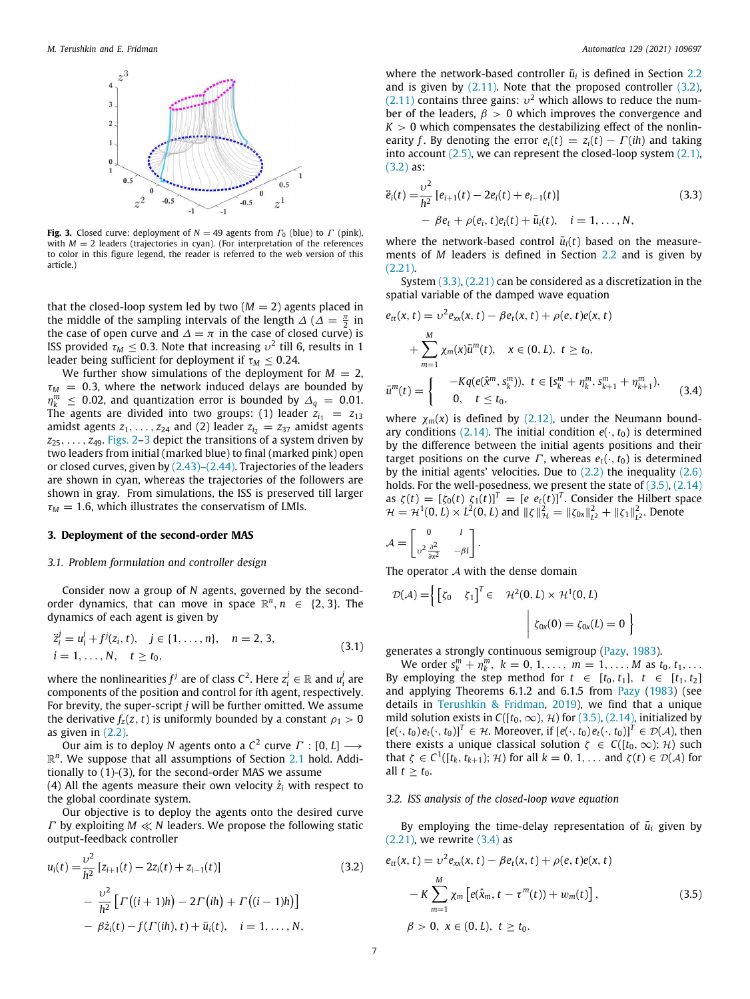

<span id="page-6-0"></span>**Fig. 3.** Closed curve: deployment of  $N = 49$  agents from  $\Gamma_0$  (blue) to  $\Gamma$  (pink), with  $M = 2$  leaders (trajectories in cyan). (For interpretation of the references to color in this figure legend, the reader is referred to the web version of this article.)

that the closed-loop system led by two  $(M = 2)$  agents placed in the middle of the sampling intervals of the length  $\Delta$  ( $\Delta = \frac{\pi}{2}$  in the case of open curve and  $\Delta = \pi$  in the case of closed curve) is ISS provided  $\tau_M\leq 0.3$ . Note that increasing  $\upsilon^2$  till 6, results in 1 leader being sufficient for deployment if  $\tau_M \leq 0.24$ .

We further show simulations of the deployment for  $M = 2$ ,  $\tau_M$  = 0.3, where the network induced delays are bounded by  $\eta_k^m$  ≤ 0.02, and quantization error is bounded by  $\Delta_q$  = 0.01. The agents are divided into two groups: (1) leader  $z_{i_1} = z_{13}$ amidst agents  $z_1, \ldots, z_{24}$  and (2) leader  $z_i = z_{37}$  amidst agents *z*25, . . . , *z*49. [Figs.](#page-5-2) [2](#page-5-2)[–3](#page-6-0) depict the transitions of a system driven by two leaders from initial (marked blue) to final (marked pink) open or closed curves, given by ([2.43](#page-5-3))–[\(2.44](#page-5-4)). Trajectories of the leaders are shown in cyan, whereas the trajectories of the followers are shown in gray. From simulations, the ISS is preserved till larger  $\tau_M$  = 1.6, which illustrates the conservatism of LMIs.

#### **3. Deployment of the second-order MAS**

#### *3.1. Problem formulation and controller design*

Consider now a group of *N* agents, governed by the secondorder dynamics, that can move in space  $\mathbb{R}^n$ ,  $n \in \{2, 3\}$ . The dynamics of each agent is given by

$$
\ddot{z}_{i}^{j} = u_{i}^{j} + f^{j}(z_{i}, t), \quad j \in \{1, ..., n\}, \quad n = 2, 3,
$$
  
\n $i = 1, ..., N, \quad t \ge t_{0},$ \n(3.1)

where the nonlinearities  $f^j$  are of class  $C^2$ . Here  $z^j_i \in \mathbb{R}$  and  $u^j_i$  are components of the position and control for *i*th agent, respectively. For brevity, the super-script *j* will be further omitted. We assume the derivative  $f_z(z, t)$  is uniformly bounded by a constant  $\rho_1 > 0$ as given in [\(2.2\)](#page-1-0).

Our aim is to deploy *N* agents onto a  $\mathcal{C}^2$  curve  $\varGamma: [0,L] \longrightarrow$  $\mathbb{R}^n$ . We suppose that all assumptions of Section [2.1](#page-1-5) hold. Additionally to (1)-(3), for the second-order MAS we assume (4) All the agents measure their own velocity  $\dot{z}_i$  with respect to

the global coordinate system. Our objective is to deploy the agents onto the desired curve Γ by exploiting *M* ≪ *N* leaders. We propose the following static output-feedback controller

$$
u_i(t) = \frac{v^2}{h^2} [z_{i+1}(t) - 2z_i(t) + z_{i-1}(t)]
$$
\n
$$
- \frac{v^2}{h^2} [ \Gamma((i+1)h) - 2\Gamma(ih) + \Gamma((i-1)h)]
$$
\n
$$
- \beta \dot{z}_i(t) - f(\Gamma(ih), t) + \bar{u}_i(t), \quad i = 1, ..., N,
$$
\n(3.2)

where the network-based controller  $\bar{u}_i$  is defined in Section [2.2](#page-2-7) and is given by [\(2.11](#page-2-2)). Note that the proposed controller [\(3.2\)](#page-6-1),  $(2.11)$  $(2.11)$  $(2.11)$  contains three gains:  $v^2$  which allows to reduce the number of the leaders,  $\beta > 0$  which improves the convergence and  $K > 0$  which compensates the destabilizing effect of the nonlinearity *f*. By denoting the error  $e_i(t) = z_i(t) - \Gamma(ih)$  and taking into account  $(2.5)$  $(2.5)$  $(2.5)$ , we can represent the closed-loop system  $(2.1)$ , ([3.2](#page-6-1)) as:

<span id="page-6-2"></span>
$$
\ddot{e}_i(t) = \frac{v^2}{h^2} \left[ e_{i+1}(t) - 2e_i(t) + e_{i-1}(t) \right]
$$
\n
$$
- \beta e_t + \rho(e_i, t)e_i(t) + \bar{u}_i(t), \quad i = 1, ..., N,
$$
\n(3.3)

where the network-based control  $\bar{u}_i(t)$  based on the measurements of *M* leaders is defined in Section [2.2](#page-2-7) and is given by ([2.21](#page-3-8)).

System [\(3.3\)](#page-6-2), [\(2.21](#page-3-8)) can be considered as a discretization in the spatial variable of the damped wave equation

$$
e_{tt}(x, t) = v^2 e_{xx}(x, t) - \beta e_t(x, t) + \rho(e, t)e(x, t)
$$
  
+ 
$$
\sum_{m=1}^{M} \chi_m(x) \bar{u}^m(t), \quad x \in (0, L), \ t \ge t_0,
$$
  

$$
\bar{u}^m(t) = \begin{cases} -Kq(e(\hat{x}^m, s_k^m)), \ t \in [s_k^m + \eta_k^m, s_{k+1}^m + \eta_{k+1}^m), \\ 0, \ t \le t_0, \end{cases}
$$
(3.4)

where  $\chi_m(x)$  is defined by ([2.12](#page-2-9)), under the Neumann bound-ary conditions ([2.14](#page-2-6)). The initial condition  $e(\cdot, t_0)$  is determined by the difference between the initial agents positions and their target positions on the curve  $\Gamma$ , whereas  $e_t(\cdot, t_0)$  is determined by the initial agents' velocities. Due to ([2.2](#page-1-0)) the inequality [\(2.6\)](#page-2-10) holds. For the well-posedness, we present the state of  $(3.5)$  $(3.5)$  $(3.5)$ ,  $(2.14)$ as  $\zeta(t) = [\zeta_0(t) \; \zeta_1(t)]^T = [e \; e_t(t)]^T$ . Consider the Hilbert space  $\mathcal{H} = \mathcal{H}^1(0, L) \times L^2(0, L)$  and  $\|\zeta\|_{\mathcal{H}}^2 = \|\zeta_{0x}\|_{L^2}^2 + \|\zeta_1\|_{L^2}^2$ . Denote

$$
\mathcal{A} = \begin{bmatrix} 0 & I \\ v^2 \frac{\partial^2}{\partial x^2} & -\beta I \end{bmatrix}.
$$

The operator  $A$  with the dense domain

$$
\mathcal{D}(\mathcal{A}) = \left\{ \begin{bmatrix} \zeta_0 & \zeta_1 \end{bmatrix}^T \in \mathcal{H}^2(0, L) \times \mathcal{H}^1(0, L) \right\}
$$

$$
\begin{aligned} \zeta_{0x}(0) = \zeta_{0x}(L) = 0 \end{aligned}
$$

<span id="page-6-5"></span>generates a strongly continuous semigroup ([Pazy](#page-8-25), [1983](#page-8-25)).

We order  $s_k^m + \eta_k^m$ ,  $k = 0, 1, ..., m = 1, ..., M$  as  $t_0, t_1, ...$ By employing the step method for  $t \in [t_0, t_1], t \in [t_1, t_2]$ and applying Theorems 6.1.2 and 6.1.5 from [Pazy](#page-8-25) ([1983\)](#page-8-25) (see details in [Terushkin & Fridman,](#page-8-20) [2019](#page-8-20)), we find that a unique mild solution exists in  $C([t_0, \infty), \mathcal{H})$  for ([3.5](#page-6-3)), [\(2.14\)](#page-2-6), initialized by  $[e(\cdot, t_0) e_t(\cdot, t_0)]^T \in \mathcal{H}$ . Moreover, if  $[e(\cdot, t_0) e_t(\cdot, t_0)]^T \in \mathcal{D}(\mathcal{A})$ , then there exists a unique classical solution  $\zeta \in C([t_0,\infty);\mathcal{H})$  such that  $\zeta \in C^1([t_k, t_{k+1}); \mathcal{H})$  for all  $k = 0, 1, \ldots$  and  $\zeta(t) \in \mathcal{D}(\mathcal{A})$  for all  $t \geq t_0$ .

<span id="page-6-4"></span><span id="page-6-3"></span>}

## *3.2. ISS analysis of the closed-loop wave equation*

By employing the time-delay representation of  $\bar{u}_i$  given by  $(2.21)$  $(2.21)$  $(2.21)$ , we rewrite  $(3.4)$  as

<span id="page-6-1"></span>
$$
e_{tt}(x, t) = v^2 e_{xx}(x, t) - \beta e_t(x, t) + \rho(e, t)e(x, t)
$$
  
- K 
$$
\sum_{m=1}^{M} \chi_m [e(\hat{x}_m, t - \tau^m(t)) + w_m(t)],
$$
  

$$
\beta > 0, x \in (0, L), t \ge t_0.
$$
 (3.5)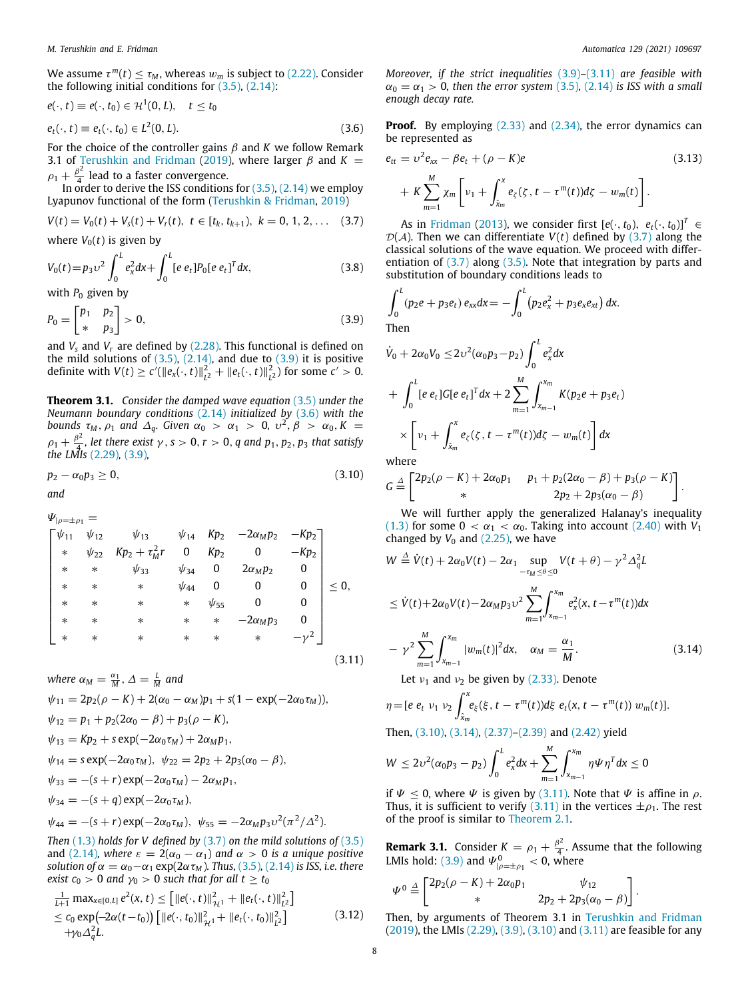We assume  $\tau^m(t) \leq \tau_M$ , whereas  $w_m$  is subject to [\(2.22\)](#page-3-4). Consider the following initial conditions for  $(3.5)$  $(3.5)$  $(3.5)$ ,  $(2.14)$  $(2.14)$  $(2.14)$ :

$$
e(\cdot, t) \equiv e(\cdot, t_0) \in \mathcal{H}^1(0, L), \quad t \le t_0
$$
  

$$
e_t(\cdot, t) \equiv e_t(\cdot, t_0) \in L^2(0, L).
$$
 (3.6)

For the choice of the controller gains  $\beta$  and  $K$  we follow Remark 3.1 of [Terushkin and Fridman](#page-8-20) ([2019](#page-8-20)), where larger  $\beta$  and  $K =$  $\rho_1 + \frac{\beta^2}{4}$  $\frac{1}{4}$  lead to a faster convergence.

In order to derive the ISS conditions for  $(3.5)$  $(3.5)$ ,  $(2.14)$  $(2.14)$  we employ Lyapunov functional of the form ([Terushkin & Fridman](#page-8-20), [2019](#page-8-20))

$$
V(t) = V_0(t) + V_s(t) + V_r(t), \ t \in [t_k, t_{k+1}), \ k = 0, 1, 2, \ldots \quad (3.7)
$$

where  $V_0(t)$  is given by

$$
V_0(t) = p_3 v^2 \int_0^L e_x^2 dx + \int_0^L [e \, e_t] P_0 [e \, e_t]^T dx, \tag{3.8}
$$

with  $P_0$  given by

$$
P_0 = \begin{bmatrix} p_1 & p_2 \\ * & p_3 \end{bmatrix} > 0,\tag{3.9}
$$

and  $V_s$  and  $V_r$  are defined by  $(2.28)$  $(2.28)$ . This functional is defined on the mild solutions of  $(3.5)$  $(3.5)$  $(3.5)$ ,  $(2.14)$  $(2.14)$  $(2.14)$ , and due to  $(3.9)$  it is positive definite with  $V(t) \ge c'(\|e_x(\cdot, t)\|_{L^2}^2 + \|e_t(\cdot, t)\|_{L^2}^2)$  for some  $c' > 0$ .

<span id="page-7-6"></span>**Theorem 3.1.** *Consider the damped wave equation* [\(3.5\)](#page-6-3) *under the Neumann boundary conditions* [\(2.14\)](#page-2-6) *initialized by* ([3.6](#page-7-1)) *with the bounds*  $\tau_M$ ,  $\rho_1$  and  $\Delta_q$ . Given  $\alpha_0 > \alpha_1 > 0$ ,  $\nu^2$ ,  $\beta > \alpha_0$ ,  $K =$  $\rho_1 + \frac{\beta^2}{4}$  $\frac{d^2y}{dx^2}$ , let there exist  $\gamma$ ,  $s > 0$ ,  $r > 0$ , q and  $p_1, p_2, p_3$  that satisfy *the LMIs* ([2.29](#page-4-0))*,* [\(3.9\)](#page-7-0)*,*

$$
p_2 - \alpha_0 p_3 \ge 0, \tag{3.10}
$$

*and*

 $\Psi_{\vert\rho=\pm\rho_1}=$ 

$$
\begin{bmatrix}\n\psi_{11} & \psi_{12} & \psi_{13} & \psi_{14} & Kp_2 & -2\alpha_Mp_2 & -Kp_2 \\
\ast & \psi_{22} & Kp_2 + \tau_M^2r & 0 & Kp_2 & 0 & -Kp_2 \\
\ast & \ast & \psi_{33} & \psi_{34} & 0 & 2\alpha_Mp_2 & 0 \\
\ast & \ast & \ast & \psi_{44} & 0 & 0 & 0 \\
\ast & \ast & \ast & \ast & \psi_{55} & 0 & 0 \\
\ast & \ast & \ast & \ast & \ast & -2\alpha_Mp_3 & 0 \\
\ast & \ast & \ast & \ast & \ast & \ast & -\gamma^2\n\end{bmatrix} \leq 0,
$$
\n(3.11)

$$
\mathcal{A} = \mathcal{A} \cup \mathcal{A}
$$

*where*  $\alpha_M = \frac{\alpha_1}{M}, \Delta = \frac{L}{M}$  and  $\psi_{11} = 2p_2(\rho - K) + 2(\alpha_0 - \alpha_M)p_1 + s(1 - \exp(-2\alpha_0 \tau_M)),$  $\psi_{12} = p_1 + p_2(2\alpha_0 - \beta) + p_3(\rho - K),$  $\psi_{13} = Kp_2 + s \exp(-2\alpha_0 \tau_M) + 2\alpha_M p_1$  $\psi_{14} = s \exp(-2\alpha_0 \tau_M), \ \psi_{22} = 2p_2 + 2p_3(\alpha_0 - \beta),$  $\psi_{33} = -(s+r) \exp(-2\alpha_0 \tau_M) - 2\alpha_M p_1$  $\psi_{34} = -(s+q) \exp(-2\alpha_0 \tau_M),$ 

$$
\psi_{44} = -(s+r) \exp(-2\alpha_0 \tau_M), \ \psi_{55} = -2\alpha_M p_3 v^2 (\pi^2/\Delta^2).
$$

*Then* ([1.3](#page-1-2)) *holds for V defined by* ([3.7](#page-7-2)) *on the mild solutions of* [\(3.5\)](#page-6-3) and [\(2.14](#page-2-6))*, where*  $\varepsilon = 2(\alpha_0 - \alpha_1)$  and  $\alpha > 0$  is a unique positive *solution of*  $\alpha = \alpha_0 - \alpha_1 \exp(2\alpha \tau_M)$ *. Thus,* [\(3.5](#page-6-3)), [\(2.14](#page-2-6)) *is ISS, i.e. there exist*  $c_0 > 0$  *and*  $\gamma_0 > 0$  *such that for all*  $t \ge t_0$ 

$$
\frac{1}{L+1} \max_{x \in [0,L]} e^{2}(x,t) \leq \left[ ||e(\cdot,t)||_{\mathcal{H}^{1}}^{2} + ||e_{t}(\cdot,t)||_{L^{2}}^{2} \right] \leq c_{0} \exp(-2\alpha(t-t_{0})) \left[ ||e(\cdot,t_{0})||_{\mathcal{H}^{1}}^{2} + ||e_{t}(\cdot,t_{0})||_{L^{2}}^{2} \right] + \gamma_{0} \Delta_{q}^{2}L.
$$
\n(3.12)

*Moreover, if the strict inequalities* [\(3.9\)](#page-7-0)*–*([3.11](#page-7-3)) *are feasible with*  $\alpha_0 = \alpha_1 > 0$ , then the error system [\(3.5\)](#page-6-3), [\(2.14\)](#page-2-6) *is ISS with a small enough decay rate.*

<span id="page-7-1"></span>**Proof.** By employing ([2.33](#page-4-7)) and [\(2.34\)](#page-4-8), the error dynamics can be represented as

$$
e_{tt} = \nu^2 e_{xx} - \beta e_t + (\rho - K)e
$$
\n
$$
+ K \sum_{m=1}^{M} \chi_m \left[ \nu_1 + \int_{\hat{x}_m}^{x} e_{\zeta}(\zeta, t - \tau^m(t)) d\zeta - w_m(t) \right].
$$
\n(3.13)

<span id="page-7-2"></span>As in [Fridman](#page-8-28) [\(2013\)](#page-8-28), we consider first  $[e(\cdot, t_0), e_t(\cdot, t_0)]^T \in$  $D(A)$ . Then we can differentiate  $V(t)$  defined by [\(3.7\)](#page-7-2) along the classical solutions of the wave equation. We proceed with differentiation of  $(3.7)$  $(3.7)$  along  $(3.5)$  $(3.5)$ . Note that integration by parts and substitution of boundary conditions leads to

∫ *<sup>L</sup>*

<span id="page-7-0"></span>
$$
\int_0^L (p_2e + p_3e_t) e_{xx} dx = - \int_0^L (p_2e_x^2 + p_3e_xe_{xt}) dx.
$$
  
Then

$$
\dot{V}_0 + 2\alpha_0 V_0 \le 2v^2(\alpha_0 p_3 - p_2) \int_0^L e_x^2 dx
$$
  
+ 
$$
\int_0^L [e \, e_t] G[e \, e_t]^T dx + 2 \sum_{m=1}^M \int_{x_{m-1}}^{x_m} K(p_2 e + p_3 e_t)
$$
  
+ 
$$
\left[ v_1 + \int_{\hat{x}_m}^x e_\zeta(\zeta, t - \tau^m(t)) d\zeta - w_m(t) \right] dx
$$

where

<span id="page-7-4"></span>
$$
G \stackrel{\Delta}{=} \begin{bmatrix} 2p_2(\rho - K) + 2\alpha_0 p_1 & p_1 + p_2(2\alpha_0 - \beta) + p_3(\rho - K) \\ * & 2p_2 + 2p_3(\alpha_0 - \beta) \end{bmatrix}.
$$

We will further apply the generalized Halanay's inequality ([1.3](#page-1-2)) for some  $0 < \alpha_1 < \alpha_0$ . Taking into account [\(2.40\)](#page-4-9) with  $V_1$ changed by  $V_0$  and  $(2.25)$ , we have

$$
W \stackrel{\Delta}{=} \dot{V}(t) + 2\alpha_0 V(t) - 2\alpha_1 \sup_{-\tau_M \le \theta \le 0} V(t + \theta) - \gamma^2 \Delta_q^2 L
$$
  
\n
$$
\le \dot{V}(t) + 2\alpha_0 V(t) - 2\alpha_M p_3 v^2 \sum_{m=1}^M \int_{x_{m-1}}^{x_m} e_x^2(x, t - \tau^m(t)) dx
$$
  
\n
$$
- \gamma^2 \sum_{m=1}^M \int_{x_{m-1}}^{x_m} |w_m(t)|^2 dx, \quad \alpha_M = \frac{\alpha_1}{M}.
$$
 (3.14)

<span id="page-7-5"></span><span id="page-7-3"></span>Let  $v_1$  and  $v_2$  be given by ([2.33](#page-4-7)). Denote

$$
\eta = [e \; e_t \; v_1 \; v_2 \int_{\hat{x}_m}^x e_{\xi}(\xi, t - \tau^m(t)) d\xi \; e_t(x, t - \tau^m(t)) \; w_m(t)].
$$

Then, [\(3.10\)](#page-7-4), ([3.14\)](#page-7-5), ([2.37](#page-4-4))–[\(2.39](#page-4-5)) and [\(2.42\)](#page-5-1) yield

$$
W \le 2\nu^2(\alpha_0 p_3 - p_2) \int_0^L e_x^2 dx + \sum_{m=1}^M \int_{x_{m-1}}^{x_m} \eta \Psi \eta^T dx \le 0
$$

if  $\Psi \leq 0$ , where  $\Psi$  is given by [\(3.11\)](#page-7-3). Note that  $\Psi$  is affine in  $\rho$ . Thus, it is sufficient to verify [\(3.11\)](#page-7-3) in the vertices  $\pm \rho_1$ . The rest of the proof is similar to [Theorem](#page-3-9) [2.1.](#page-3-9)

**Remark 3.1.** Consider  $K = \rho_1 + \frac{\beta^2}{4}$  $\frac{p}{4}$ . Assume that the following LMIs hold: [\(3.9\)](#page-7-0) and  $\Psi_{\vert\rho=\pm\rho_1}^0 < 0$ , where

$$
\Psi^0 \stackrel{\Delta}{=} \begin{bmatrix} 2p_2(\rho - K) + 2\alpha_0 p_1 & \psi_{12} \\ \ast & 2p_2 + 2p_3(\alpha_0 - \beta) \end{bmatrix}.
$$

Then, by arguments of Theorem 3.1 in [Terushkin and Fridman](#page-8-20) ([2019\)](#page-8-20), the LMIs [\(2.29](#page-4-0)), ([3.9](#page-7-0)), [\(3.10\)](#page-7-4) and ([3.11\)](#page-7-3) are feasible for any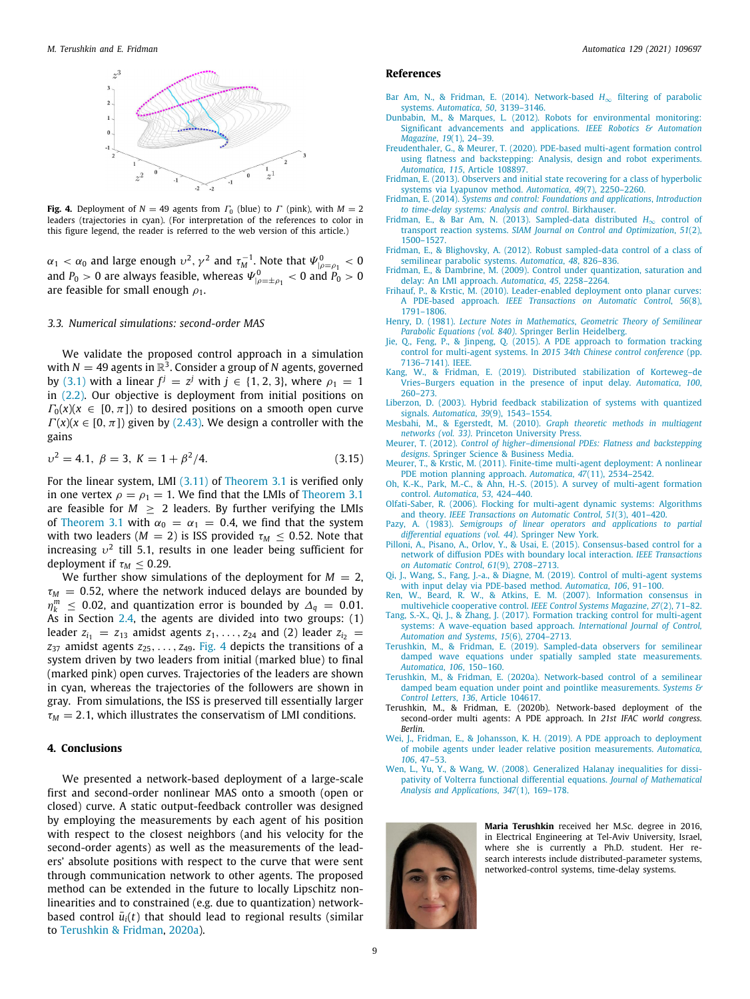

<span id="page-8-29"></span>**Fig. 4.** Deployment of  $N = 49$  agents from  $\Gamma_0$  (blue) to  $\Gamma$  (pink), with  $M = 2$ leaders (trajectories in cyan). (For interpretation of the references to color in this figure legend, the reader is referred to the web version of this article.)

 $\alpha_1 < \alpha_0$  and large enough  $v^2$ ,  $\gamma^2$  and  $\tau_M^{-1}$ . Note that  $\Psi_{|\rho=\rho_1}^0 < 0$ and  $P_0 > 0$  are always feasible, whereas  $\Psi_{|\rho=\pm \rho_1}^0 < 0$  and  $P_0 > 0$ are feasible for small enough  $\rho_1$ .

### *3.3. Numerical simulations: second-order MAS*

We validate the proposed control approach in a simulation with  $N = 49$  agents in  $\mathbb{R}^3$ . Consider a group of N agents, governed by [\(3.1\)](#page-6-5) with a linear  $f^j = z^j$  with  $j \in \{1, 2, 3\}$ , where  $\rho_1 = 1$ in [\(2.2\)](#page-1-0). Our objective is deployment from initial positions on  $\Gamma_0(x)(x \in [0, \pi])$  to desired positions on a smooth open curve  $\Gamma(x)(x \in [0, \pi])$  given by ([2.43\)](#page-5-3). We design a controller with the gains

$$
\upsilon^2 = 4.1, \ \beta = 3, \ K = 1 + \beta^2 / 4. \tag{3.15}
$$

For the linear system, LMI ([3.11](#page-7-3)) of [Theorem](#page-7-6) [3.1](#page-7-6) is verified only in one vertex  $\rho = \rho_1 = 1$ . We find that the LMIs of [Theorem](#page-7-6) [3.1](#page-7-6) are feasible for  $M \geq 2$  leaders. By further verifying the LMIs of [Theorem](#page-7-6) [3.1](#page-7-6) with  $\alpha_0 = \alpha_1 = 0.4$ , we find that the system with two leaders ( $M = 2$ ) is ISS provided  $\tau_M \leq 0.52$ . Note that increasing  $v^2$  till 5.1, results in one leader being sufficient for deployment if  $\tau_M \leq 0.29$ .

We further show simulations of the deployment for  $M = 2$ ,  $\tau_M$  = 0.52, where the network induced delays are bounded by η *m*  $\leq$  0.02, and quantization error is bounded by  $\Delta$ <sup>*q*</sup> = 0.01. As in Section [2.4,](#page-5-5) the agents are divided into two groups: (1) leader  $z_{i_1} = z_{13}$  amidst agents  $z_1, \ldots, z_{24}$  and (2) leader  $z_{i_2} =$  $z_{37}$  amidst agents  $z_{25}, \ldots, z_{49}$  $z_{25}, \ldots, z_{49}$  $z_{25}, \ldots, z_{49}$ . [Fig.](#page-8-29) 4 depicts the transitions of a system driven by two leaders from initial (marked blue) to final (marked pink) open curves. Trajectories of the leaders are shown in cyan, whereas the trajectories of the followers are shown in gray. From simulations, the ISS is preserved till essentially larger  $\tau_M = 2.1$ , which illustrates the conservatism of LMI conditions.

## **4. Conclusions**

We presented a network-based deployment of a large-scale first and second-order nonlinear MAS onto a smooth (open or closed) curve. A static output-feedback controller was designed by employing the measurements by each agent of his position with respect to the closest neighbors (and his velocity for the second-order agents) as well as the measurements of the leaders' absolute positions with respect to the curve that were sent through communication network to other agents. The proposed method can be extended in the future to locally Lipschitz nonlinearities and to constrained (e.g. due to quantization) networkbased control  $\bar{u}_i(t)$  that should lead to regional results (similar to [Terushkin & Fridman,](#page-8-30) [2020a\)](#page-8-30).

#### **References**

- <span id="page-8-27"></span>[Bar Am, N., & Fridman, E. \(2014\). Network-based](http://refhub.elsevier.com/S0005-1098(21)00217-X/sb1) *H*∞ filtering of parabolic systems. *Automatica*, *50*[, 3139–3146.](http://refhub.elsevier.com/S0005-1098(21)00217-X/sb1)
- <span id="page-8-6"></span>[Dunbabin, M., & Marques, L. \(2012\). Robots for environmental monitoring:](http://refhub.elsevier.com/S0005-1098(21)00217-X/sb2) [Significant advancements and applications.](http://refhub.elsevier.com/S0005-1098(21)00217-X/sb2) *IEEE Robotics & Automation Magazine*, *19*[\(1\), 24–39.](http://refhub.elsevier.com/S0005-1098(21)00217-X/sb2)
- <span id="page-8-9"></span>[Freudenthaler, G., & Meurer, T. \(2020\). PDE-based multi-agent formation control](http://refhub.elsevier.com/S0005-1098(21)00217-X/sb3) [using flatness and backstepping: Analysis, design and robot experiments.](http://refhub.elsevier.com/S0005-1098(21)00217-X/sb3) *Automatica*, *115*[, Article 108897.](http://refhub.elsevier.com/S0005-1098(21)00217-X/sb3)
- <span id="page-8-28"></span>[Fridman, E. \(2013\). Observers and initial state recovering for a class of hyperbolic](http://refhub.elsevier.com/S0005-1098(21)00217-X/sb4) [systems via Lyapunov method.](http://refhub.elsevier.com/S0005-1098(21)00217-X/sb4) *Automatica*, *49*(7), 2250–2260.
- <span id="page-8-18"></span>Fridman, E. (2014). *[Systems and control: Foundations and applications](http://refhub.elsevier.com/S0005-1098(21)00217-X/sb5)*, *Introduction [to time-delay systems: Analysis and control](http://refhub.elsevier.com/S0005-1098(21)00217-X/sb5)*. Birkhauser.
- <span id="page-8-24"></span>[Fridman, E., & Bar Am, N. \(2013\). Sampled-data distributed](http://refhub.elsevier.com/S0005-1098(21)00217-X/sb6) *H*∞ control of transport reaction systems. *[SIAM Journal on Control and Optimization](http://refhub.elsevier.com/S0005-1098(21)00217-X/sb6)*, *51*(2), [1500–1527.](http://refhub.elsevier.com/S0005-1098(21)00217-X/sb6)
- <span id="page-8-16"></span>[Fridman, E., & Blighovsky, A. \(2012\). Robust sampled-data control of a class of](http://refhub.elsevier.com/S0005-1098(21)00217-X/sb7)
- <span id="page-8-23"></span>[semilinear parabolic systems.](http://refhub.elsevier.com/S0005-1098(21)00217-X/sb7) *Automatica*, *48*, 826–836. [Fridman, E., & Dambrine, M. \(2009\). Control under quantization, saturation and](http://refhub.elsevier.com/S0005-1098(21)00217-X/sb8) [delay: An LMI approach.](http://refhub.elsevier.com/S0005-1098(21)00217-X/sb8) *Automatica*, *45*, 2258–2264.
- <span id="page-8-7"></span>[Frihauf, P., & Krstic, M. \(2010\). Leader-enabled deployment onto planar curves:](http://refhub.elsevier.com/S0005-1098(21)00217-X/sb9) A PDE-based approach. *[IEEE Transactions on Automatic Control](http://refhub.elsevier.com/S0005-1098(21)00217-X/sb9)*, *56*(8), [1791–1806.](http://refhub.elsevier.com/S0005-1098(21)00217-X/sb9)
- <span id="page-8-26"></span>Henry, D. (1981). *Lecture Notes in Mathematics*, *[Geometric Theory of Semilinear](http://refhub.elsevier.com/S0005-1098(21)00217-X/sb10) [Parabolic Equations \(vol. 840\)](http://refhub.elsevier.com/S0005-1098(21)00217-X/sb10)*. Springer Berlin Heidelberg.
- <span id="page-8-12"></span>[Jie, Q., Feng, P., & Jinpeng, Q. \(2015\). A PDE approach to formation tracking](http://refhub.elsevier.com/S0005-1098(21)00217-X/sb11) control for multi-agent systems. In *[2015 34th Chinese control conference](http://refhub.elsevier.com/S0005-1098(21)00217-X/sb11)* (pp. [7136–7141\). IEEE.](http://refhub.elsevier.com/S0005-1098(21)00217-X/sb11)
- <span id="page-8-19"></span>[Kang, W., & Fridman, E. \(2019\). Distributed stabilization of Korteweg–de](http://refhub.elsevier.com/S0005-1098(21)00217-X/sb12) [Vries–Burgers equation in the presence of input delay.](http://refhub.elsevier.com/S0005-1098(21)00217-X/sb12) *Automatica*, *100*, [260–273.](http://refhub.elsevier.com/S0005-1098(21)00217-X/sb12)
- <span id="page-8-17"></span>[Liberzon, D. \(2003\). Hybrid feedback stabilization of systems with quantized](http://refhub.elsevier.com/S0005-1098(21)00217-X/sb13) signals. *Automatica*, *39*[\(9\), 1543–1554.](http://refhub.elsevier.com/S0005-1098(21)00217-X/sb13)
- <span id="page-8-2"></span>Mesbahi, M., & Egerstedt, M. (2010). *[Graph theoretic methods in multiagent](http://refhub.elsevier.com/S0005-1098(21)00217-X/sb14) networks (vol. 33)*[. Princeton University Press.](http://refhub.elsevier.com/S0005-1098(21)00217-X/sb14)
- <span id="page-8-8"></span>Meurer, T. (2012). *[Control of higher–dimensional PDEs: Flatness and backstepping](http://refhub.elsevier.com/S0005-1098(21)00217-X/sb15) designs*[. Springer Science & Business Media.](http://refhub.elsevier.com/S0005-1098(21)00217-X/sb15)
- <span id="page-8-10"></span>[Meurer, T., & Krstic, M. \(2011\). Finite-time multi-agent deployment: A nonlinear](http://refhub.elsevier.com/S0005-1098(21)00217-X/sb16)
- <span id="page-8-3"></span>[PDE motion planning approach.](http://refhub.elsevier.com/S0005-1098(21)00217-X/sb16) *Automatica*, *47*(11), 2534–2542. [Oh, K.-K., Park, M.-C., & Ahn, H.-S. \(2015\). A survey of multi-agent formation](http://refhub.elsevier.com/S0005-1098(21)00217-X/sb17) control. *[Automatica](http://refhub.elsevier.com/S0005-1098(21)00217-X/sb17)*, *53*, 424–440.
- <span id="page-8-5"></span>[Olfati-Saber, R. \(2006\). Flocking for multi-agent dynamic systems: Algorithms](http://refhub.elsevier.com/S0005-1098(21)00217-X/sb18) and theory. *[IEEE Transactions on Automatic Control](http://refhub.elsevier.com/S0005-1098(21)00217-X/sb18)*, *51*(3), 401–420. Pazy, A. (1983). *[Semigroups of linear operators and applications to partial](http://refhub.elsevier.com/S0005-1098(21)00217-X/sb19)*
- <span id="page-8-25"></span>*[differential equations \(vol. 44\)](http://refhub.elsevier.com/S0005-1098(21)00217-X/sb19)*. Springer New York. [Pilloni, A., Pisano, A., Orlov, Y., & Usai, E. \(2015\). Consensus-based control for a](http://refhub.elsevier.com/S0005-1098(21)00217-X/sb20)
- <span id="page-8-11"></span>[network of diffusion PDEs with boundary local interaction.](http://refhub.elsevier.com/S0005-1098(21)00217-X/sb20) *IEEE Transactions [on Automatic Control](http://refhub.elsevier.com/S0005-1098(21)00217-X/sb20)*, *61*(9), 2708–2713.
- <span id="page-8-14"></span>[Qi, J., Wang, S., Fang, J.-a., & Diagne, M. \(2019\). Control of multi-agent systems](http://refhub.elsevier.com/S0005-1098(21)00217-X/sb21) [with input delay via PDE-based method.](http://refhub.elsevier.com/S0005-1098(21)00217-X/sb21) *Automatica*, *106*, 91–100.
- <span id="page-8-4"></span>[Ren, W., Beard, R. W., & Atkins, E. M. \(2007\). Information consensus in](http://refhub.elsevier.com/S0005-1098(21)00217-X/sb22) [multivehicle cooperative control.](http://refhub.elsevier.com/S0005-1098(21)00217-X/sb22) *IEEE Control Systems Magazine*, *27*(2), 71–82.
- <span id="page-8-13"></span>[Tang, S.-X., Qi, J., & Zhang, J. \(2017\). Formation tracking control for multi-agent](http://refhub.elsevier.com/S0005-1098(21)00217-X/sb23) [systems: A wave-equation based approach.](http://refhub.elsevier.com/S0005-1098(21)00217-X/sb23) *International Journal of Control, [Automation and Systems](http://refhub.elsevier.com/S0005-1098(21)00217-X/sb23)*, *15*(6), 2704–2713.
- <span id="page-8-20"></span>[Terushkin, M., & Fridman, E. \(2019\). Sampled-data observers for semilinear](http://refhub.elsevier.com/S0005-1098(21)00217-X/sb24) [damped wave equations under spatially sampled state measurements.](http://refhub.elsevier.com/S0005-1098(21)00217-X/sb24) *[Automatica](http://refhub.elsevier.com/S0005-1098(21)00217-X/sb24)*, *106*, 150–160.
- <span id="page-8-30"></span>[Terushkin, M., & Fridman, E. \(2020a\). Network-based control of a semilinear](http://refhub.elsevier.com/S0005-1098(21)00217-X/sb25) [damped beam equation under point and pointlike measurements.](http://refhub.elsevier.com/S0005-1098(21)00217-X/sb25) *Systems & Control Letters*, *136*[, Article 104617.](http://refhub.elsevier.com/S0005-1098(21)00217-X/sb25)
- <span id="page-8-22"></span>Terushkin, M., & Fridman, E. (2020b). Network-based deployment of the second-order multi agents: A PDE approach. In *21st IFAC world congress. Berlin*.
- <span id="page-8-15"></span>[Wei, J., Fridman, E., & Johansson, K. H. \(2019\). A PDE approach to deployment](http://refhub.elsevier.com/S0005-1098(21)00217-X/sb27) [of mobile agents under leader relative position measurements.](http://refhub.elsevier.com/S0005-1098(21)00217-X/sb27) *Automatica*, *106*[, 47–53.](http://refhub.elsevier.com/S0005-1098(21)00217-X/sb27)
- <span id="page-8-21"></span>[Wen, L., Yu, Y., & Wang, W. \(2008\). Generalized Halanay inequalities for dissi](http://refhub.elsevier.com/S0005-1098(21)00217-X/sb28)[pativity of Volterra functional differential equations.](http://refhub.elsevier.com/S0005-1098(21)00217-X/sb28) *Journal of Mathematical [Analysis and Applications](http://refhub.elsevier.com/S0005-1098(21)00217-X/sb28)*, *347*(1), 169–178.

<span id="page-8-1"></span><span id="page-8-0"></span>

**Maria Terushkin** received her M.Sc. degree in 2016, in Electrical Engineering at Tel-Aviv University, Israel, where she is currently a Ph.D. student. Her research interests include distributed-parameter systems, networked-control systems, time-delay systems.